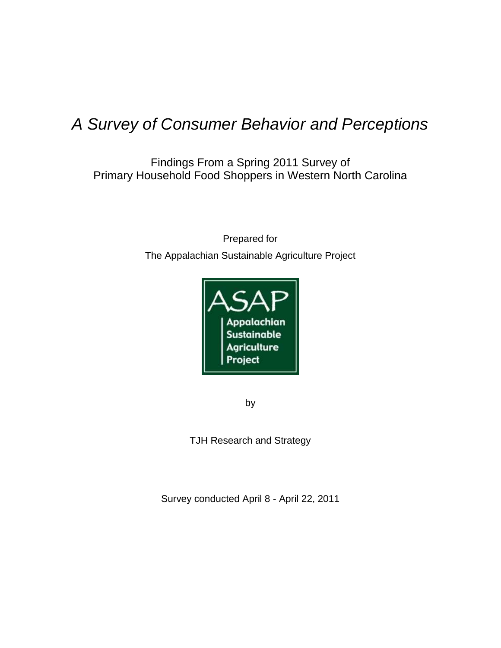# *A Survey of Consumer Behavior and Perceptions*

Findings From a Spring 2011 Survey of Primary Household Food Shoppers in Western North Carolina

> Prepared for The Appalachian Sustainable Agriculture Project



by

TJH Research and Strategy

Survey conducted April 8 - April 22, 2011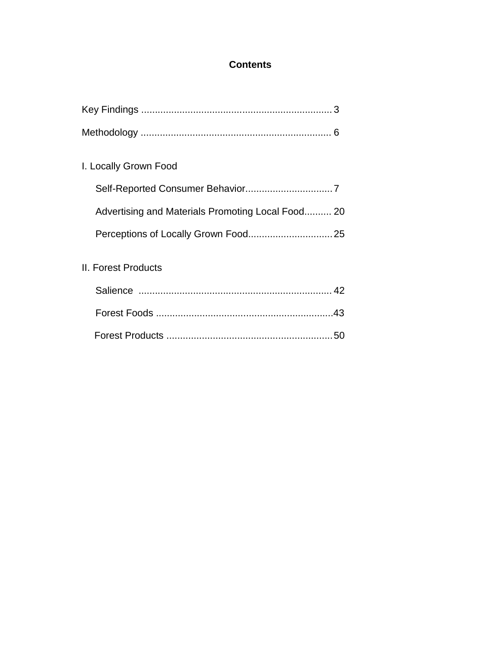# **Contents**

| I. Locally Grown Food                             |  |
|---------------------------------------------------|--|
|                                                   |  |
| Advertising and Materials Promoting Local Food 20 |  |
|                                                   |  |
| II. Forest Products                               |  |
|                                                   |  |
|                                                   |  |
|                                                   |  |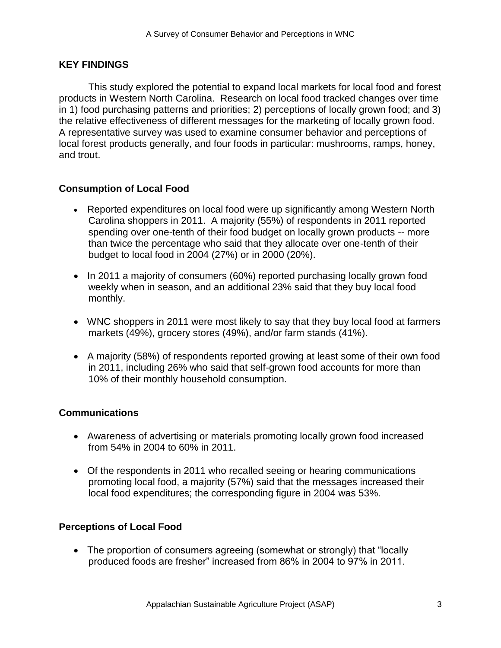# **KEY FINDINGS**

This study explored the potential to expand local markets for local food and forest products in Western North Carolina. Research on local food tracked changes over time in 1) food purchasing patterns and priorities; 2) perceptions of locally grown food; and 3) the relative effectiveness of different messages for the marketing of locally grown food. A representative survey was used to examine consumer behavior and perceptions of local forest products generally, and four foods in particular: mushrooms, ramps, honey, and trout.

# **Consumption of Local Food**

- Reported expenditures on local food were up significantly among Western North Carolina shoppers in 2011. A majority (55%) of respondents in 2011 reported spending over one-tenth of their food budget on locally grown products -- more than twice the percentage who said that they allocate over one-tenth of their budget to local food in 2004 (27%) or in 2000 (20%).
- In 2011 a majority of consumers (60%) reported purchasing locally grown food weekly when in season, and an additional 23% said that they buy local food monthly.
- WNC shoppers in 2011 were most likely to say that they buy local food at farmers markets (49%), grocery stores (49%), and/or farm stands (41%).
- A majority (58%) of respondents reported growing at least some of their own food in 2011, including 26% who said that self-grown food accounts for more than 10% of their monthly household consumption.

### **Communications**

- Awareness of advertising or materials promoting locally grown food increased from 54% in 2004 to 60% in 2011.
- Of the respondents in 2011 who recalled seeing or hearing communications promoting local food, a majority (57%) said that the messages increased their local food expenditures; the corresponding figure in 2004 was 53%.

### **Perceptions of Local Food**

• The proportion of consumers agreeing (somewhat or strongly) that "locally produced foods are fresher" increased from 86% in 2004 to 97% in 2011.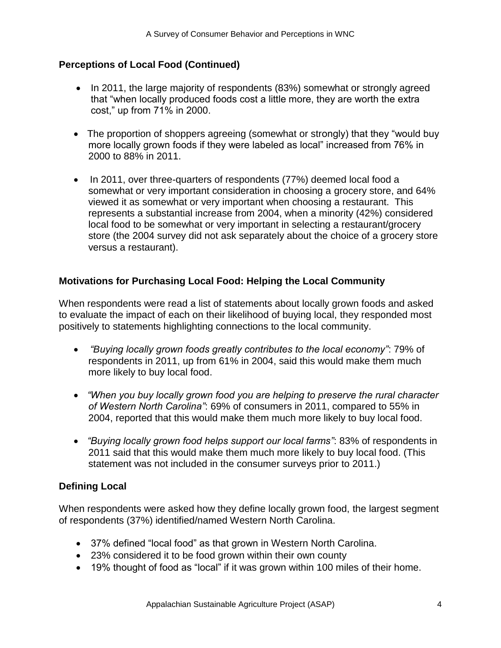# **Perceptions of Local Food (Continued)**

- In 2011, the large majority of respondents (83%) somewhat or strongly agreed that "when locally produced foods cost a little more, they are worth the extra cost," up from 71% in 2000.
- The proportion of shoppers agreeing (somewhat or strongly) that they "would buy more locally grown foods if they were labeled as local" increased from 76% in 2000 to 88% in 2011.
- In 2011, over three-quarters of respondents (77%) deemed local food a somewhat or very important consideration in choosing a grocery store, and 64% viewed it as somewhat or very important when choosing a restaurant. This represents a substantial increase from 2004, when a minority (42%) considered local food to be somewhat or very important in selecting a restaurant/grocery store (the 2004 survey did not ask separately about the choice of a grocery store versus a restaurant).

# **Motivations for Purchasing Local Food: Helping the Local Community**

When respondents were read a list of statements about locally grown foods and asked to evaluate the impact of each on their likelihood of buying local, they responded most positively to statements highlighting connections to the local community.

- *"Buying locally grown foods greatly contributes to the local economy"*: 79% of respondents in 2011, up from 61% in 2004, said this would make them much more likely to buy local food.
- *"When you buy locally grown food you are helping to preserve the rural character of Western North Carolina"*: 69% of consumers in 2011, compared to 55% in 2004, reported that this would make them much more likely to buy local food.
- *"Buying locally grown food helps support our local farms"*: 83% of respondents in 2011 said that this would make them much more likely to buy local food. (This statement was not included in the consumer surveys prior to 2011.)

### **Defining Local**

When respondents were asked how they define locally grown food, the largest segment of respondents (37%) identified/named Western North Carolina.

- 37% defined "local food" as that grown in Western North Carolina.
- 23% considered it to be food grown within their own county
- 19% thought of food as "local" if it was grown within 100 miles of their home.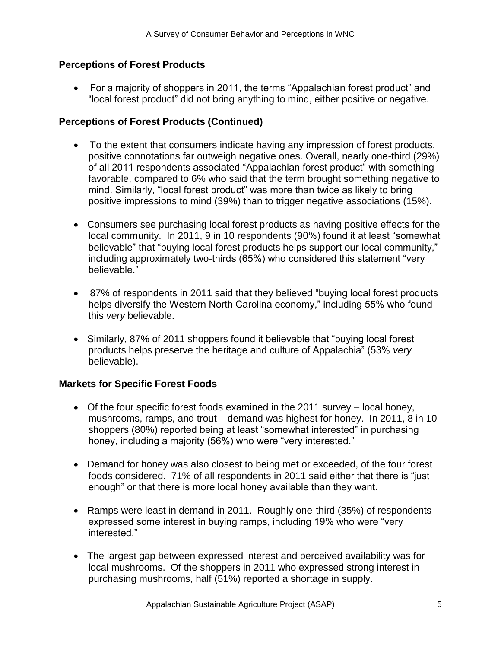### **Perceptions of Forest Products**

• For a majority of shoppers in 2011, the terms "Appalachian forest product" and "local forest product" did not bring anything to mind, either positive or negative.

# **Perceptions of Forest Products (Continued)**

- To the extent that consumers indicate having any impression of forest products, positive connotations far outweigh negative ones. Overall, nearly one-third (29%) of all 2011 respondents associated "Appalachian forest product" with something favorable, compared to 6% who said that the term brought something negative to mind. Similarly, "local forest product" was more than twice as likely to bring positive impressions to mind (39%) than to trigger negative associations (15%).
- Consumers see purchasing local forest products as having positive effects for the local community. In 2011, 9 in 10 respondents (90%) found it at least "somewhat believable" that "buying local forest products helps support our local community," including approximately two-thirds (65%) who considered this statement "very believable."
- 87% of respondents in 2011 said that they believed "buying local forest products helps diversify the Western North Carolina economy," including 55% who found this *very* believable.
- Similarly, 87% of 2011 shoppers found it believable that "buying local forest products helps preserve the heritage and culture of Appalachia‖ (53% *very* believable).

# **Markets for Specific Forest Foods**

- Of the four specific forest foods examined in the 2011 survey local honey, mushrooms, ramps, and trout – demand was highest for honey. In 2011, 8 in 10 shoppers (80%) reported being at least "somewhat interested" in purchasing honey, including a majority (56%) who were "very interested."
- Demand for honey was also closest to being met or exceeded, of the four forest foods considered. 71% of all respondents in 2011 said either that there is "just enough" or that there is more local honey available than they want.
- Ramps were least in demand in 2011. Roughly one-third (35%) of respondents expressed some interest in buying ramps, including 19% who were "very interested.‖
- The largest gap between expressed interest and perceived availability was for local mushrooms. Of the shoppers in 2011 who expressed strong interest in purchasing mushrooms, half (51%) reported a shortage in supply.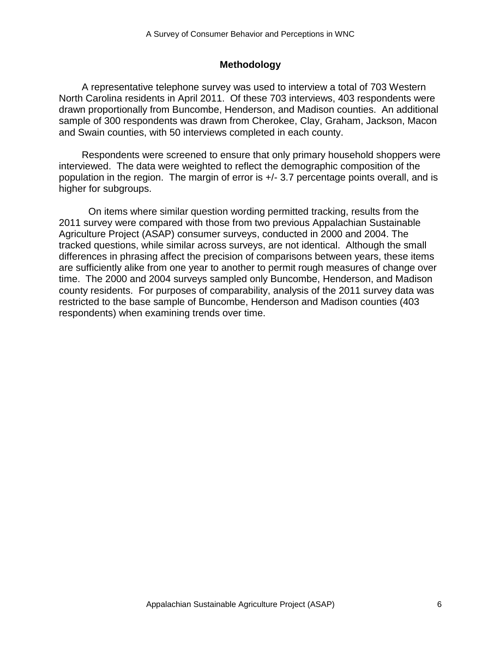# **Methodology**

A representative telephone survey was used to interview a total of 703 Western North Carolina residents in April 2011. Of these 703 interviews, 403 respondents were drawn proportionally from Buncombe, Henderson, and Madison counties. An additional sample of 300 respondents was drawn from Cherokee, Clay, Graham, Jackson, Macon and Swain counties, with 50 interviews completed in each county.

Respondents were screened to ensure that only primary household shoppers were interviewed. The data were weighted to reflect the demographic composition of the population in the region. The margin of error is +/- 3.7 percentage points overall, and is higher for subgroups.

On items where similar question wording permitted tracking, results from the 2011 survey were compared with those from two previous Appalachian Sustainable Agriculture Project (ASAP) consumer surveys, conducted in 2000 and 2004. The tracked questions, while similar across surveys, are not identical. Although the small differences in phrasing affect the precision of comparisons between years, these items are sufficiently alike from one year to another to permit rough measures of change over time. The 2000 and 2004 surveys sampled only Buncombe, Henderson, and Madison county residents. For purposes of comparability, analysis of the 2011 survey data was restricted to the base sample of Buncombe, Henderson and Madison counties (403 respondents) when examining trends over time.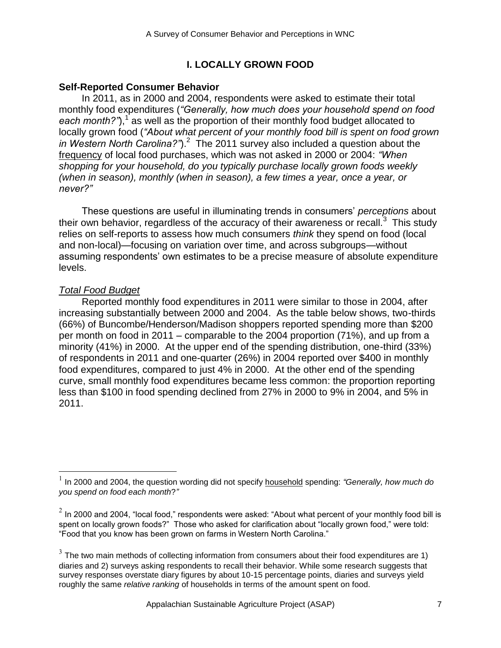# **I. LOCALLY GROWN FOOD**

### **Self-Reported Consumer Behavior**

In 2011, as in 2000 and 2004, respondents were asked to estimate their total monthly food expenditures (*"Generally, how much does your household spend on food*  each month?"),<sup>1</sup> as well as the proportion of their monthly food budget allocated to locally grown food (*"About what percent of your monthly food bill is spent on food grown*  in Western North Carolina?").<sup>2</sup> The 2011 survey also included a question about the frequency of local food purchases, which was not asked in 2000 or 2004: *"When shopping for your household, do you typically purchase locally grown foods weekly (when in season), monthly (when in season), a few times a year, once a year, or never?"*

These questions are useful in illuminating trends in consumers' *perceptions* about their own behavior, regardless of the accuracy of their awareness or recall. $3$  This study relies on self-reports to assess how much consumers *think* they spend on food (local and non-local)—focusing on variation over time, and across subgroups—without assuming respondents' own estimates to be a precise measure of absolute expenditure levels.

# *Total Food Budget*

Reported monthly food expenditures in 2011 were similar to those in 2004, after increasing substantially between 2000 and 2004. As the table below shows, two-thirds (66%) of Buncombe/Henderson/Madison shoppers reported spending more than \$200 per month on food in 2011 – comparable to the 2004 proportion (71%), and up from a minority (41%) in 2000. At the upper end of the spending distribution, one-third (33%) of respondents in 2011 and one-quarter (26%) in 2004 reported over \$400 in monthly food expenditures, compared to just 4% in 2000. At the other end of the spending curve, small monthly food expenditures became less common: the proportion reporting less than \$100 in food spending declined from 27% in 2000 to 9% in 2004, and 5% in 2011.

 1 In 2000 and 2004, the question wording did not specify household spending: *"Generally, how much do you spend on food each month*?*"*

 $^2$  In 2000 and 2004, "local food," respondents were asked: "About what percent of your monthly food bill is spent on locally grown foods?" Those who asked for clarification about "locally grown food," were told: "Food that you know has been grown on farms in Western North Carolina."

 $3$  The two main methods of collecting information from consumers about their food expenditures are 1) diaries and 2) surveys asking respondents to recall their behavior. While some research suggests that survey responses overstate diary figures by about 10-15 percentage points, diaries and surveys yield roughly the same *relative ranking* of households in terms of the amount spent on food.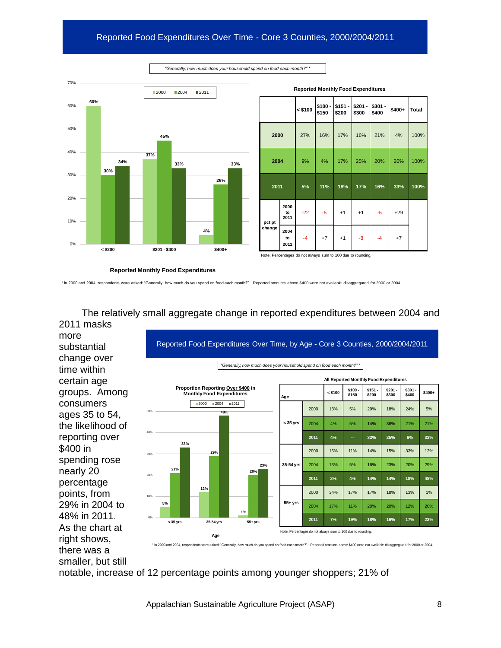# Reported Food Expenditures Over Time - Core 3 Counties, 2000/2004/2011



|        |                    | <b>Reported Monthly Food Expenditures</b>                   |                  |                   |                   |                  |        |              |
|--------|--------------------|-------------------------------------------------------------|------------------|-------------------|-------------------|------------------|--------|--------------|
|        |                    | $<$ \$100                                                   | \$100 -<br>\$150 | $$151 -$<br>\$200 | $$201 -$<br>\$300 | \$301 -<br>\$400 | \$400+ | <b>Total</b> |
| 2000   |                    | 27%                                                         | 16%              | 17%               | 16%               | 21%              | 4%     | 100%         |
| 2004   |                    | 9%                                                          | 4%               | 17%               | 25%               | 20%              | 26%    | 100%         |
| 2011   |                    | 5%                                                          | 11%              | 18%               | 17%               | 16%              | 33%    | 100%         |
| pct pt | 2000<br>to<br>2011 | $-22$                                                       | $-5$             | $+1$              | $+1$              | $-5$             | $+29$  |              |
| change | 2004<br>to<br>2011 | $-4$                                                        | $+7$             | $+1$              | -8                | $-4$             | $+7$   |              |
|        |                    | Note: Percentages do not always sum to 100 due to rounding. |                  |                   |                   |                  |        |              |

*"Generally, how much does your household spend on food each month?" \**

\* In 2000 and 2004, respondents were asked: "Generally, how much do you spend on food each month?" Reported amounts above \$400 were not available disaggregated for 2000 or 2004.

**5% 12% 1% 21% 29% 20% 33% 48% 23%** 0% 10% 20% 30% 40% 50% **< 35 yrs 35-54 yrs 55+ yrs**  $2000$  2004 2011 *"Generally, how much does your household spend on food each month?" \** **Age < \$100 \$100 - \$150 \$151 - \$200 \$201 - \$300 \$301 - \$400 \$400+ < 35 yrs** 2000 18% 5% 29% 18% 24% 5% 2004 4% 5% 14% 36% 21% 21% **2011 4% -- 33% 25% 6% 33% 35-54 yrs** 2000 16% 11% 14% 15% 33% 12% 2004 13% 5% 16% 23% 20% 29% **2011 2% 4% 14% 14% 18% 48% 55+ yrs** 2000 34% 17% 17% 18% 13% 1% 2004 17% 11% 20% 20% 12% 20% **2011 7% 19% 18% 16% 17% 23% All Reported Monthly Food Expenditures Proportion Reporting Over \$400 in Monthly Food Expenditures Age** Note: Percentages do not always sum to 100 due to rounding. Reported Food Expenditures Over Time, by Age - Core 3 Counties, 2000/2004/2011 \* In 2000 and 2004, respondents were asked: "Generally, how much do you spend on food each month?" Reported amounts above \$400 were not available disaggregated for 2000 or 2004. more substantial change over time within certain age groups. Among consumers ages 35 to 54, the likelihood of reporting over \$400 in spending rose nearly 20 percentage points, from 29% in 2004 to 48% in 2011. As the chart at right shows,

The relatively small aggregate change in reported expenditures between 2004 and 2011 masks

notable, increase of 12 percentage points among younger shoppers; 21% of

there was a smaller, but still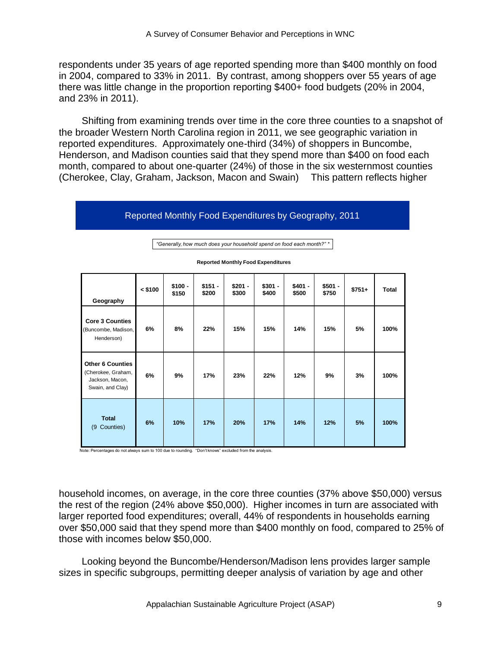respondents under 35 years of age reported spending more than \$400 monthly on food in 2004, compared to 33% in 2011. By contrast, among shoppers over 55 years of age there was little change in the proportion reporting \$400+ food budgets (20% in 2004, and 23% in 2011).

Shifting from examining trends over time in the core three counties to a snapshot of the broader Western North Carolina region in 2011, we see geographic variation in reported expenditures. Approximately one-third (34%) of shoppers in Buncombe, Henderson, and Madison counties said that they spend more than \$400 on food each month, compared to about one-quarter (24%) of those in the six westernmost counties (Cherokee, Clay, Graham, Jackson, Macon and Swain) This pattern reflects higher

### Reported Monthly Food Expenditures by Geography, 2011

| Geography                                                                            | $<$ \$100 | $$100 -$<br>\$150 | $$151 -$<br>\$200 | $$201 -$<br>\$300 | $$301 -$<br>\$400 | $$401 -$<br>\$500 | $$501 -$<br>\$750 | $$751+$ | <b>Total</b> |
|--------------------------------------------------------------------------------------|-----------|-------------------|-------------------|-------------------|-------------------|-------------------|-------------------|---------|--------------|
| <b>Core 3 Counties</b><br>(Buncombe, Madison,<br>Henderson)                          | 6%        | 8%                | 22%               | 15%               | 15%               | 14%               | 15%               | 5%      | 100%         |
| <b>Other 6 Counties</b><br>(Cherokee, Graham,<br>Jackson, Macon,<br>Swain, and Clay) | 6%        | 9%                | 17%               | 23%               | 22%               | 12%               | 9%                | 3%      | 100%         |
| <b>Total</b><br>Counties)<br>(9)                                                     | 6%        | 10%               | 17%               | 20%               | 17%               | 14%               | 12%               | 5%      | 100%         |

**Reported Monthly Food Expenditures** *"Generally, how much does your household spend on food each month?" \**

Note: Percentages do not always sum to 100 due to rounding. "Don't knows" excluded from the analysis.

household incomes, on average, in the core three counties (37% above \$50,000) versus the rest of the region (24% above \$50,000). Higher incomes in turn are associated with larger reported food expenditures; overall, 44% of respondents in households earning over \$50,000 said that they spend more than \$400 monthly on food, compared to 25% of those with incomes below \$50,000.

Looking beyond the Buncombe/Henderson/Madison lens provides larger sample sizes in specific subgroups, permitting deeper analysis of variation by age and other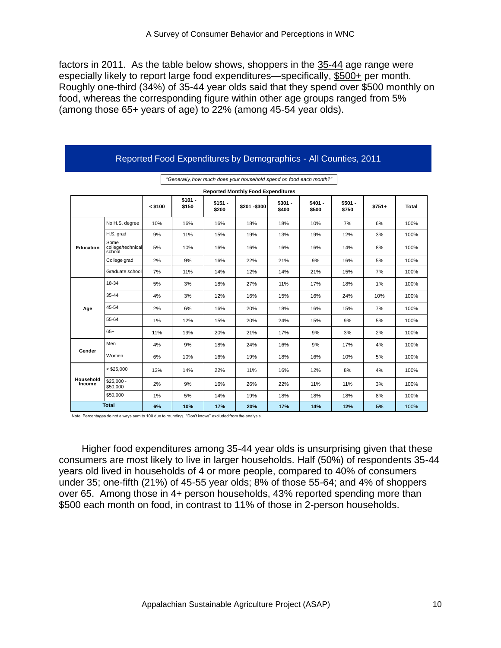factors in 2011. As the table below shows, shoppers in the 35-44 age range were especially likely to report large food expenditures—specifically, \$500+ per month. Roughly one-third (34%) of 35-44 year olds said that they spend over \$500 monthly on food, whereas the corresponding figure within other age groups ranged from 5% (among those 65+ years of age) to 22% (among 45-54 year olds).

|                     |                                     |           |                   |                   | "Generally, how much does your household spend on food each month?" |                   |                   |                   |         |       |
|---------------------|-------------------------------------|-----------|-------------------|-------------------|---------------------------------------------------------------------|-------------------|-------------------|-------------------|---------|-------|
|                     |                                     |           |                   |                   | <b>Reported Monthly Food Expenditures</b>                           |                   |                   |                   |         |       |
|                     |                                     | $<$ \$100 | $$101 -$<br>\$150 | $$151 -$<br>\$200 | \$201-\$300                                                         | $$301 -$<br>\$400 | $$401 -$<br>\$500 | $$501 -$<br>\$750 | $$751+$ | Total |
|                     | No H.S. degree                      | 10%       | 16%               | 16%               | 18%                                                                 | 18%               | 10%               | 7%                | 6%      | 100%  |
|                     | H.S. grad                           | 9%        | 11%               | 15%               | 19%                                                                 | 13%               | 19%               | 12%               | 3%      | 100%  |
| Education           | Some<br>college/technical<br>school | 5%        | 10%               | 16%               | 16%                                                                 | 16%               | 16%               | 14%               | 8%      | 100%  |
|                     | College grad                        | 2%        | 9%                | 16%               | 22%                                                                 | 21%               | 9%                | 16%               | 5%      | 100%  |
|                     | Graduate school                     | 7%        | 11%               | 14%               | 12%                                                                 | 14%               | 21%               | 15%               | 7%      | 100%  |
|                     | 18-34                               | 5%        | 3%                | 18%               | 27%                                                                 | 11%               | 17%               | 18%               | 1%      | 100%  |
|                     | 35-44                               | 4%        | 3%                | 12%               | 16%                                                                 | 15%               | 16%               | 24%               | 10%     | 100%  |
| Age                 | 45-54                               | 2%        | 6%                | 16%               | 20%                                                                 | 18%               | 16%               | 15%               | 7%      | 100%  |
|                     | 55-64                               | 1%        | 12%               | 15%               | 20%                                                                 | 24%               | 15%               | 9%                | 5%      | 100%  |
|                     | $65+$                               | 11%       | 19%               | 20%               | 21%                                                                 | 17%               | 9%                | 3%                | 2%      | 100%  |
|                     | Men                                 | 4%        | 9%                | 18%               | 24%                                                                 | 16%               | 9%                | 17%               | 4%      | 100%  |
| Gender              | Women                               | 6%        | 10%               | 16%               | 19%                                                                 | 18%               | 16%               | 10%               | 5%      | 100%  |
|                     | $<$ \$25,000                        | 13%       | 14%               | 22%               | 11%                                                                 | 16%               | 12%               | 8%                | 4%      | 100%  |
| Household<br>Income | $$25,000 -$<br>\$50,000             | 2%        | 9%                | 16%               | 26%                                                                 | 22%               | 11%               | 11%               | 3%      | 100%  |
|                     | $$50.000+$                          | 1%        | 5%                | 14%               | 19%                                                                 | 18%               | 18%               | 18%               | 8%      | 100%  |
|                     | <b>Total</b>                        | 6%        | 10%               | 17%               | 20%                                                                 | 17%               | 14%               | 12%               | 5%      | 100%  |

Reported Food Expenditures by Demographics - All Counties, 2011

Note: Percentages do not always sum to 100 due to rounding. "Don't knows" excluded from the analysis.

Higher food expenditures among 35-44 year olds is unsurprising given that these consumers are most likely to live in larger households. Half (50%) of respondents 35-44 years old lived in households of 4 or more people, compared to 40% of consumers under 35; one-fifth (21%) of 45-55 year olds; 8% of those 55-64; and 4% of shoppers over 65. Among those in 4+ person households, 43% reported spending more than \$500 each month on food, in contrast to 11% of those in 2-person households.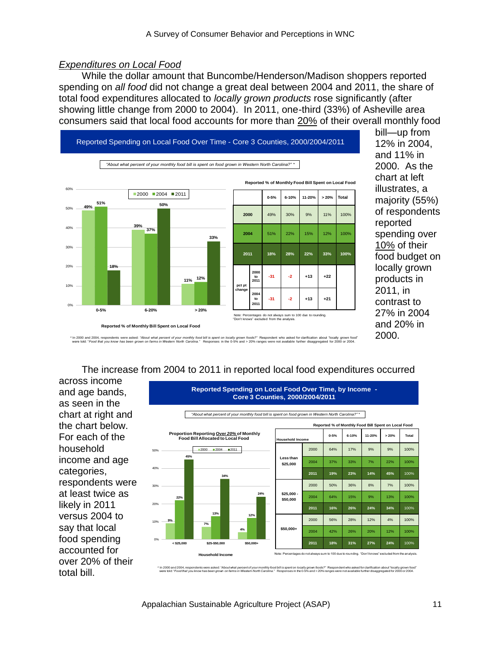### *Expenditures on Local Food*

While the dollar amount that Buncombe/Henderson/Madison shoppers reported spending on *all food* did not change a great deal between 2004 and 2011, the share of total food expenditures allocated to *locally grown products* rose significantly (after showing little change from 2000 to 2004). In 2011, one-third (33%) of Asheville area consumers said that local food accounts for more than 20% of their overall monthly food



12% in 2004, and 11% in 2000. As the chart at left illustrates, a majority (55%) of respondents reported spending over 10% of their food budget on locally grown products in 2011, in contrast to 27% in 2004 and 20% in 2000.

bill—up from

\* In 2000 and z004, respondents were asked: "About what percent of your monthly food bill is pent on locally grown foods?" Respondent who asked for clarification about "ocally grown food" house the fission estable for 2000

#### The increase from 2004 to 2011 in reported local food expenditures occurred

across income and age bands, as seen in the chart at right and the chart below. For each of the household income and age categories, respondents were at least twice as likely in 2011 versus 2004 to say that local food spending accounted for over 20% of their total bill.



**Reported Spending on Local Food Over Time, by Income -**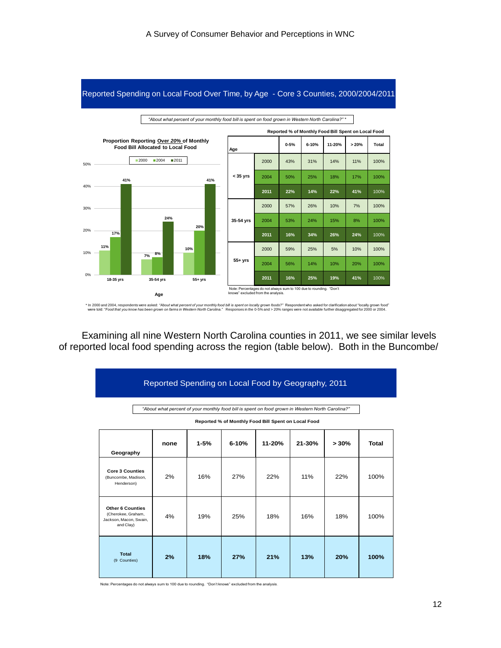

Reported Spending on Local Food Over Time, by Age - Core 3 Counties, 2000/2004/2011

\* In 2000 and 2004, respondents were asked: "About what percent of your monthly food bill is spent foods?" Respondent who asked for clarification about "ocally grown food" locally grown food".<br>Were told: "Food that you kno

Examining all nine Western North Carolina counties in 2011, we see similar levels of reported local food spending across the region (table below). Both in the Buncombe/

|                                                                                                                                                         | Reported Spending on Local Food by Geography, 2011 |          |           |        |        |      |       |  |  |  |  |  |
|---------------------------------------------------------------------------------------------------------------------------------------------------------|----------------------------------------------------|----------|-----------|--------|--------|------|-------|--|--|--|--|--|
| "About what percent of your monthly food bill is spent on food grown in Western North Carolina?"<br>Reported % of Monthly Food Bill Spent on Local Food |                                                    |          |           |        |        |      |       |  |  |  |  |  |
| Geography                                                                                                                                               | none                                               | $1 - 5%$ | $6 - 10%$ | 11-20% | 21-30% | >30% | Total |  |  |  |  |  |
| <b>Core 3 Counties</b><br>(Buncombe, Madison,<br>Henderson)                                                                                             | 2%                                                 | 16%      | 27%       | 22%    | 11%    | 22%  | 100%  |  |  |  |  |  |
| <b>Other 6 Counties</b><br>(Cherokee, Graham,<br>Jackson, Macon, Swain,<br>and Clay)                                                                    | 4%                                                 | 19%      | 25%       | 18%    | 16%    | 18%  | 100%  |  |  |  |  |  |
| <b>Total</b><br>(9 Counties)                                                                                                                            | 2%                                                 | 18%      | 27%       | 21%    | 13%    | 20%  | 100%  |  |  |  |  |  |

Note: Percentages do not always sum to 100 due to rounding. "Don't knows" excluded from the analysis.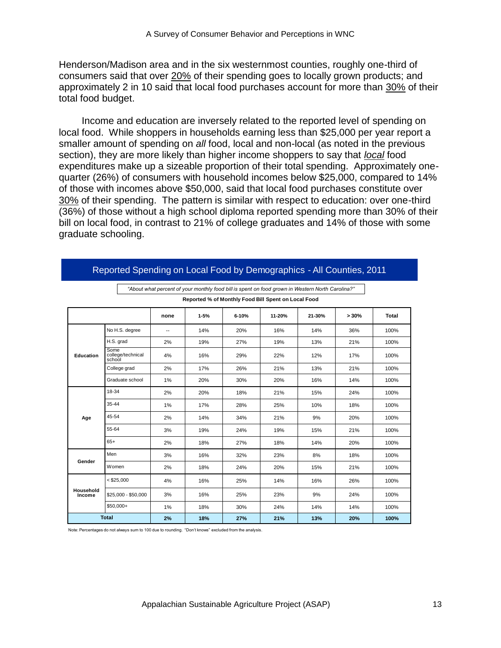Henderson/Madison area and in the six westernmost counties, roughly one-third of consumers said that over 20% of their spending goes to locally grown products; and approximately 2 in 10 said that local food purchases account for more than 30% of their total food budget.

Income and education are inversely related to the reported level of spending on local food. While shoppers in households earning less than \$25,000 per year report a smaller amount of spending on *all* food, local and non-local (as noted in the previous section), they are more likely than higher income shoppers to say that *local* food expenditures make up a sizeable proportion of their total spending. Approximately onequarter (26%) of consumers with household incomes below \$25,000, compared to 14% of those with incomes above \$50,000, said that local food purchases constitute over 30% of their spending. The pattern is similar with respect to education: over one-third (36%) of those without a high school diploma reported spending more than 30% of their bill on local food, in contrast to 21% of college graduates and 14% of those with some graduate schooling.

|                     |                                     |      | Reported % of Monthly Food Bill Spent on Local Food |           |        |        |      |              |
|---------------------|-------------------------------------|------|-----------------------------------------------------|-----------|--------|--------|------|--------------|
|                     |                                     | none | $1 - 5%$                                            | $6 - 10%$ | 11-20% | 21-30% | >30% | <b>Total</b> |
|                     | No H.S. degree                      | --   | 14%                                                 | 20%       | 16%    | 14%    | 36%  | 100%         |
|                     | H.S. grad                           | 2%   | 19%                                                 | 27%       | 19%    | 13%    | 21%  | 100%         |
| <b>Education</b>    | Some<br>college/technical<br>school | 4%   | 16%                                                 | 29%       | 22%    | 12%    | 17%  | 100%         |
|                     | College grad                        | 2%   | 17%                                                 | 26%       | 21%    | 13%    | 21%  | 100%         |
|                     | Graduate school                     | 1%   | 20%                                                 | 30%       | 20%    | 16%    | 14%  | 100%         |
|                     | 18-34                               | 2%   | 20%                                                 | 18%       | 21%    | 15%    | 24%  | 100%         |
|                     | 35-44                               | 1%   | 17%                                                 | 28%       | 25%    | 10%    | 18%  | 100%         |
| Age                 | 45-54                               | 2%   | 14%                                                 | 34%       | 21%    | 9%     | 20%  | 100%         |
|                     | 55-64                               | 3%   | 19%                                                 | 24%       | 19%    | 15%    | 21%  | 100%         |
|                     | $65+$                               | 2%   | 18%                                                 | 27%       | 18%    | 14%    | 20%  | 100%         |
|                     | Men                                 | 3%   | 16%                                                 | 32%       | 23%    | 8%     | 18%  | 100%         |
| Gender              | Women                               | 2%   | 18%                                                 | 24%       | 20%    | 15%    | 21%  | 100%         |
|                     | $<$ \$25,000                        | 4%   | 16%                                                 | 25%       | 14%    | 16%    | 26%  | 100%         |
| Household<br>Income | \$25,000 - \$50,000                 | 3%   | 16%                                                 | 25%       | 23%    | 9%     | 24%  | 100%         |
|                     | $$50,000+$                          | 1%   | 18%                                                 | 30%       | 24%    | 14%    | 14%  | 100%         |
|                     | <b>Total</b>                        | 2%   | 18%                                                 | 27%       | 21%    | 13%    | 20%  | 100%         |

Reported Spending on Local Food by Demographics - All Counties, 2011

*"About what percent of your monthly food bill is spent on food grown in Western North Carolina?"* 

Note: Percentages do not always sum to 100 due to rounding. "Don't knows" excluded from the analysis.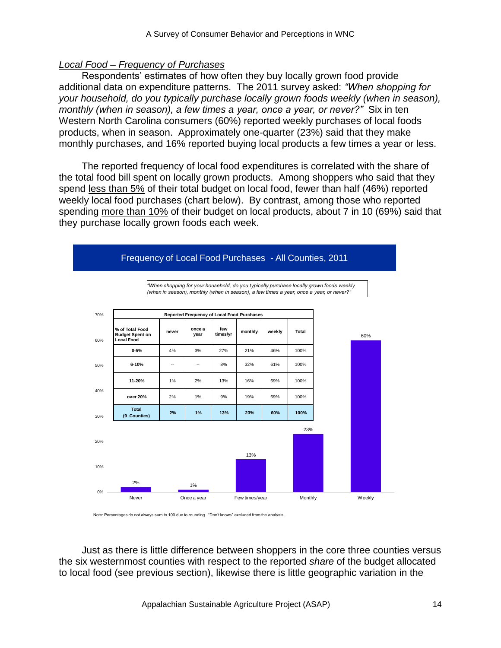### *Local Food – Frequency of Purchases*

Respondents' estimates of how often they buy locally grown food provide additional data on expenditure patterns. The 2011 survey asked: *"When shopping for your household, do you typically purchase locally grown foods weekly (when in season), monthly (when in season), a few times a year, once a year, or never?"* Six in ten Western North Carolina consumers (60%) reported weekly purchases of local foods products, when in season. Approximately one-quarter (23%) said that they make monthly purchases, and 16% reported buying local products a few times a year or less.

The reported frequency of local food expenditures is correlated with the share of the total food bill spent on locally grown products. Among shoppers who said that they spend less than 5% of their total budget on local food, fewer than half (46%) reported weekly local food purchases (chart below). By contrast, among those who reported spending more than 10% of their budget on local products, about 7 in 10 (69%) said that they purchase locally grown foods each week.



#### Frequency of Local Food Purchases - All Counties, 2011

Note: Percentages do not always sum to 100 due to rounding. "Don't knows" excluded from the analysis.

Just as there is little difference between shoppers in the core three counties versus the six westernmost counties with respect to the reported *share* of the budget allocated to local food (see previous section), likewise there is little geographic variation in the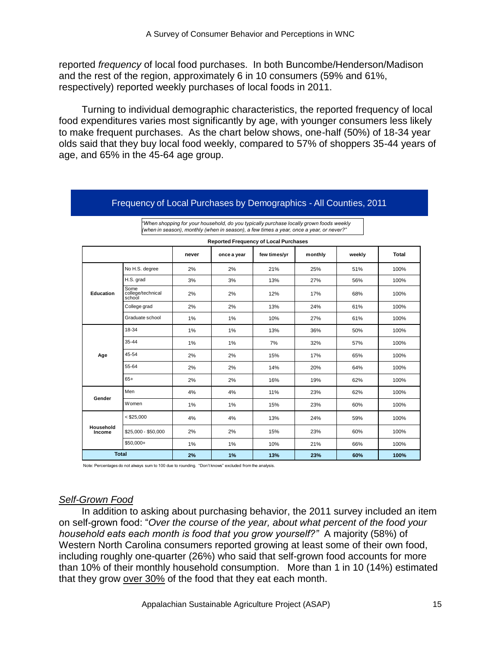reported *frequency* of local food purchases. In both Buncombe/Henderson/Madison and the rest of the region, approximately 6 in 10 consumers (59% and 61%, respectively) reported weekly purchases of local foods in 2011.

Turning to individual demographic characteristics, the reported frequency of local food expenditures varies most significantly by age, with younger consumers less likely to make frequent purchases. As the chart below shows, one-half (50%) of 18-34 year olds said that they buy local food weekly, compared to 57% of shoppers 35-44 years of age, and 65% in the 45-64 age group.

|                     |                                     |       |             | <b>Reported Frequency of Local Purchases</b> | $\binom{1}{1}$ . The case of $\binom{1}{2}$ is the contract of the case of $\binom{1}{2}$ . The case of $\binom{2}{3}$ is the case of $\binom{3}{2}$ |        |              |
|---------------------|-------------------------------------|-------|-------------|----------------------------------------------|------------------------------------------------------------------------------------------------------------------------------------------------------|--------|--------------|
|                     |                                     | never | once a year | few times/yr                                 | monthly                                                                                                                                              | weekly | <b>Total</b> |
|                     | No H.S. degree                      | 2%    | 2%          | 21%                                          | 25%                                                                                                                                                  | 51%    | 100%         |
|                     | H.S. grad                           | 3%    | 3%          | 13%                                          | 27%                                                                                                                                                  | 56%    | 100%         |
| Education           | Some<br>college/technical<br>school | 2%    | 2%          | 12%                                          | 17%                                                                                                                                                  | 68%    | 100%         |
|                     | College grad                        | 2%    | 2%          | 13%                                          | 24%                                                                                                                                                  | 61%    | 100%         |
|                     | Graduate school                     | 1%    | $1\%$       | 10%                                          | 27%                                                                                                                                                  | 61%    | 100%         |
|                     | 18-34                               | 1%    | 1%          | 13%                                          | 36%                                                                                                                                                  | 50%    | 100%         |
|                     | 35-44                               | 1%    | $1\%$       | 7%                                           | 32%                                                                                                                                                  | 57%    | 100%         |
| Age                 | 45-54                               | 2%    | 2%          | 15%                                          | 17%                                                                                                                                                  | 65%    | 100%         |
|                     | 55-64                               | 2%    | 2%          | 14%                                          | 20%                                                                                                                                                  | 64%    | 100%         |
|                     | $65+$                               | 2%    | 2%          | 16%                                          | 19%                                                                                                                                                  | 62%    | 100%         |
| Gender              | Men                                 | 4%    | 4%          | 11%                                          | 23%                                                                                                                                                  | 62%    | 100%         |
|                     | Women                               | 1%    | $1\%$       | 15%                                          | 23%                                                                                                                                                  | 60%    | 100%         |
|                     | $<$ \$25,000                        | 4%    | 4%          | 13%                                          | 24%                                                                                                                                                  | 59%    | 100%         |
| Household<br>Income | \$25,000 - \$50,000                 | 2%    | 2%          | 15%                                          | 23%                                                                                                                                                  | 60%    | 100%         |
|                     | $$50,000+$                          | 1%    | $1\%$       | 10%                                          | 21%                                                                                                                                                  | 66%    | 100%         |
| <b>Total</b>        |                                     | 2%    | 1%          | 13%                                          | 23%                                                                                                                                                  | 60%    | 100%         |

Frequency of Local Purchases by Demographics - All Counties, 2011

*"When shopping for your household, do you typically purchase locally grown foods weekly (when in season), monthly (when in season), a few times a year, once a year, or never?"*

Note: Percentages do not always sum to 100 due to rounding. "Don't knows" excluded from the analysis.

### *Self-Grown Food*

In addition to asking about purchasing behavior, the 2011 survey included an item on self-grown food: "Over the course of the year, about what percent of the food your *household eats each month is food that you grow yourself?"* A majority (58%) of Western North Carolina consumers reported growing at least some of their own food, including roughly one-quarter (26%) who said that self-grown food accounts for more than 10% of their monthly household consumption. More than 1 in 10 (14%) estimated that they grow over 30% of the food that they eat each month.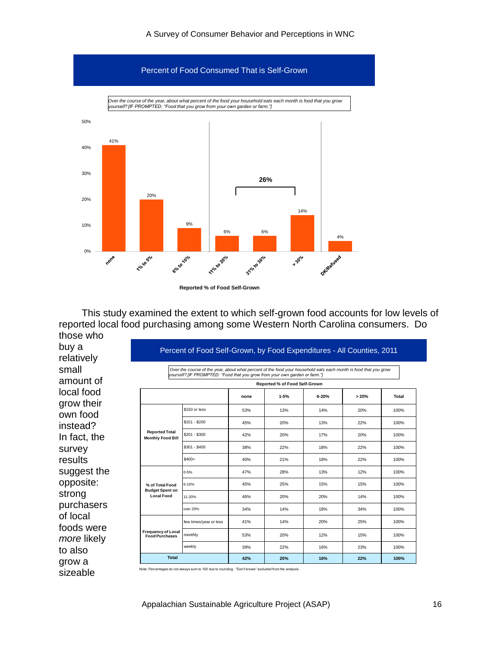

**Reported % of Food Self-Grown**

This study examined the extent to which self-grown food accounts for low levels of reported local food purchasing among some Western North Carolina consumers. Do those who

buy a relatively small amount of local food grow their own food instead? In fact, the survey results suggest the opposite: strong purchasers of local foods were *more* likely to also grow a sizeable

#### Percent of Food Self-Grown, by Food Expenditures - All Counties, 2011

*Over the course of the year, about what percent of the food your household eats each month is food that you grow yourself? [IF PROMPTED: "Food that you grow from your own garden or farm."]*

|                                                    | Reported % of Food Self-Grown |      |          |           |      |              |  |  |
|----------------------------------------------------|-------------------------------|------|----------|-----------|------|--------------|--|--|
|                                                    |                               | none | $1 - 5%$ | $6 - 20%$ | >20% | <b>Total</b> |  |  |
|                                                    | \$150 or less                 | 53%  | 13%      | 14%       | 20%  | 100%         |  |  |
|                                                    | $$151 - $200$                 | 45%  | 20%      | 13%       | 22%  | 100%         |  |  |
| <b>Reported Total</b><br><b>Monthly Food Bill</b>  | $$201 - $300$                 | 42%  | 20%      | 17%       | 20%  | 100%         |  |  |
|                                                    | $$301 - $400$                 | 38%  | 22%      | 18%       | 22%  | 100%         |  |  |
|                                                    | $$400+$                       | 40%  | 21%      | 18%       | 22%  | 100%         |  |  |
|                                                    | $0 - 5%$                      | 47%  | 28%      | 13%       | 12%  | 100%         |  |  |
| % of Total Food<br><b>Budget Spent on</b>          | 6-10%                         | 45%  | 25%      | 15%       | 15%  | 100%         |  |  |
| <b>Local Food</b>                                  | 11-20%                        | 46%  | 20%      | 20%       | 14%  | 100%         |  |  |
|                                                    | over 20%                      | 34%  | 14%      | 18%       | 34%  | 100%         |  |  |
|                                                    | few times/year or less        | 41%  | 14%      | 20%       | 25%  | 100%         |  |  |
| <b>Frequency of Local</b><br><b>Food Purchases</b> | monthly                       | 53%  | 20%      | 12%       | 15%  | 100%         |  |  |
|                                                    | weekly                        | 39%  | 22%      | 16%       | 23%  | 100%         |  |  |
| <b>Total</b>                                       |                               | 42%  | 20%      | 16%       | 22%  | 100%         |  |  |

Note: Percentages do not always sum to 100 due to rounding. "Don't knows" excluded from the analysis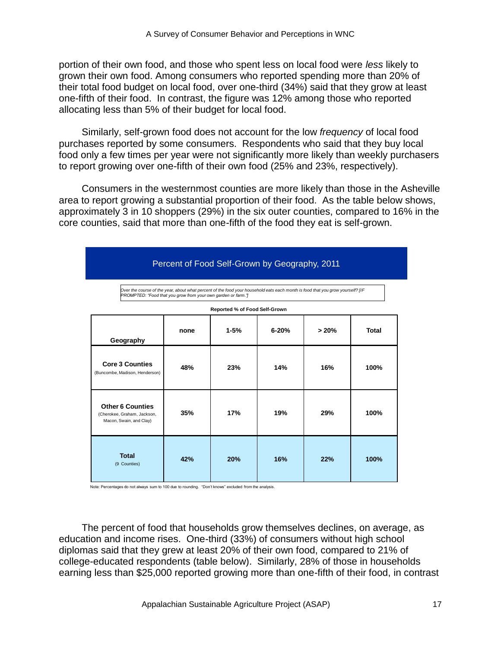portion of their own food, and those who spent less on local food were *less* likely to grown their own food. Among consumers who reported spending more than 20% of their total food budget on local food, over one-third (34%) said that they grow at least one-fifth of their food. In contrast, the figure was 12% among those who reported allocating less than 5% of their budget for local food.

Similarly, self-grown food does not account for the low *frequency* of local food purchases reported by some consumers. Respondents who said that they buy local food only a few times per year were not significantly more likely than weekly purchasers to report growing over one-fifth of their own food (25% and 23%, respectively).

Consumers in the westernmost counties are more likely than those in the Asheville area to report growing a substantial proportion of their food. As the table below shows, approximately 3 in 10 shoppers (29%) in the six outer counties, compared to 16% in the core counties, said that more than one-fifth of the food they eat is self-grown.

|                                                                                                                                                                                                                                 |      | Percent of Food Self-Grown by Geography, 2011 |           |       |       |  |  |  |  |  |
|---------------------------------------------------------------------------------------------------------------------------------------------------------------------------------------------------------------------------------|------|-----------------------------------------------|-----------|-------|-------|--|--|--|--|--|
| Over the course of the year, about what percent of the food your household eats each month is food that you grow yourself? [IF<br>PROMPTED: "Food that you grow from your own garden or farm."<br>Reported % of Food Self-Grown |      |                                               |           |       |       |  |  |  |  |  |
| Geography                                                                                                                                                                                                                       | none | $1 - 5%$                                      | $6 - 20%$ | > 20% | Total |  |  |  |  |  |
| <b>Core 3 Counties</b><br>(Buncombe, Madison, Henderson)                                                                                                                                                                        | 48%  | 23%                                           | 14%       | 16%   | 100%  |  |  |  |  |  |
| <b>Other 6 Counties</b><br>(Cherokee, Graham, Jackson,<br>Macon, Swain, and Clay)                                                                                                                                               | 35%  | 17%                                           | 19%       | 29%   | 100%  |  |  |  |  |  |
| <b>Total</b><br>(9 Counties)                                                                                                                                                                                                    | 42%  | 20%                                           | 16%       | 22%   | 100%  |  |  |  |  |  |

Note: Percentages do not always sum to 100 due to rounding. "Don't knows" excluded from the analysis.

The percent of food that households grow themselves declines, on average, as education and income rises. One-third (33%) of consumers without high school diplomas said that they grew at least 20% of their own food, compared to 21% of college-educated respondents (table below). Similarly, 28% of those in households earning less than \$25,000 reported growing more than one-fifth of their food, in contrast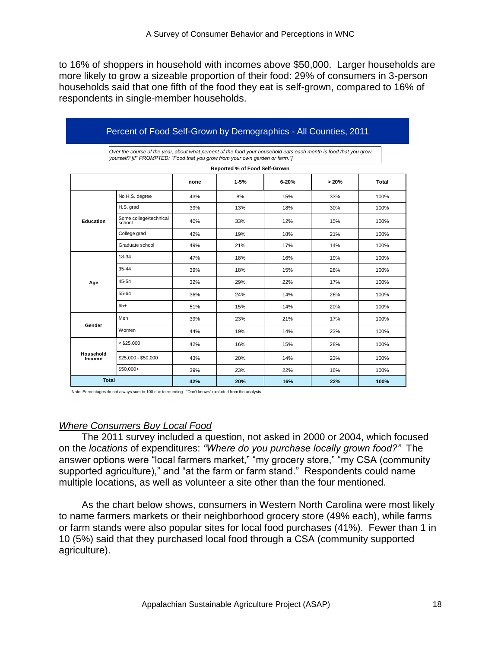to 16% of shoppers in household with incomes above \$50,000. Larger households are more likely to grow a sizeable proportion of their food: 29% of consumers in 3-person households said that one fifth of the food they eat is self-grown, compared to 16% of respondents in single-member households.

|                     | Percent of Food Self-Grown by Demographics - All Counties, 2011                                                                                                                                 |      |                               |       |      |       |  |  |  |  |  |  |
|---------------------|-------------------------------------------------------------------------------------------------------------------------------------------------------------------------------------------------|------|-------------------------------|-------|------|-------|--|--|--|--|--|--|
|                     | Over the course of the year, about what percent of the food your household eats each month is food that you grow<br>yourself? [IF PROMPTED: "Food that you grow from your own garden or farm."] |      |                               |       |      |       |  |  |  |  |  |  |
|                     |                                                                                                                                                                                                 |      | Reported % of Food Self-Grown |       |      |       |  |  |  |  |  |  |
|                     |                                                                                                                                                                                                 | none | $1 - 5%$                      | 6-20% | >20% | Total |  |  |  |  |  |  |
|                     | No H.S. degree                                                                                                                                                                                  | 43%  | 8%                            | 15%   | 33%  | 100%  |  |  |  |  |  |  |
|                     | H.S. grad                                                                                                                                                                                       | 39%  | 13%                           | 18%   | 30%  | 100%  |  |  |  |  |  |  |
| <b>Education</b>    | Some college/technical<br>school                                                                                                                                                                | 40%  | 33%                           | 12%   | 15%  | 100%  |  |  |  |  |  |  |
|                     | College grad                                                                                                                                                                                    | 42%  | 19%                           | 18%   | 21%  | 100%  |  |  |  |  |  |  |
|                     | Graduate school                                                                                                                                                                                 | 49%  | 21%                           | 17%   | 14%  | 100%  |  |  |  |  |  |  |
|                     | 18-34                                                                                                                                                                                           | 47%  | 18%                           | 16%   | 19%  | 100%  |  |  |  |  |  |  |
|                     | 35-44                                                                                                                                                                                           | 39%  | 18%                           | 15%   | 28%  | 100%  |  |  |  |  |  |  |
| Age                 | 45-54                                                                                                                                                                                           | 32%  | 29%                           | 22%   | 17%  | 100%  |  |  |  |  |  |  |
|                     | 55-64                                                                                                                                                                                           | 36%  | 24%                           | 14%   | 26%  | 100%  |  |  |  |  |  |  |
|                     | $65+$                                                                                                                                                                                           | 51%  | 15%                           | 14%   | 20%  | 100%  |  |  |  |  |  |  |
|                     | Men                                                                                                                                                                                             | 39%  | 23%                           | 21%   | 17%  | 100%  |  |  |  |  |  |  |
| Gender              | Women                                                                                                                                                                                           | 44%  | 19%                           | 14%   | 23%  | 100%  |  |  |  |  |  |  |
|                     | $<$ \$25.000                                                                                                                                                                                    | 42%  | 16%                           | 15%   | 28%  | 100%  |  |  |  |  |  |  |
| Household<br>Income | $$25,000 - $50,000$                                                                                                                                                                             | 43%  | 20%                           | 14%   | 23%  | 100%  |  |  |  |  |  |  |
|                     | \$50,000+                                                                                                                                                                                       | 39%  | 23%                           | 22%   | 16%  | 100%  |  |  |  |  |  |  |
| <b>Total</b>        |                                                                                                                                                                                                 | 42%  | 20%                           | 16%   | 22%  | 100%  |  |  |  |  |  |  |

Note: Percentages do not always sum to 100 due to rounding. "Don't knows" excluded from the analysis.

#### *Where Consumers Buy Local Food*

The 2011 survey included a question, not asked in 2000 or 2004, which focused on the *locations* of expenditures: *"Where do you purchase locally grown food?"* The answer options were "local farmers market," "my grocery store," "my CSA (community supported agriculture)," and "at the farm or farm stand." Respondents could name multiple locations, as well as volunteer a site other than the four mentioned.

As the chart below shows, consumers in Western North Carolina were most likely to name farmers markets or their neighborhood grocery store (49% each), while farms or farm stands were also popular sites for local food purchases (41%). Fewer than 1 in 10 (5%) said that they purchased local food through a CSA (community supported agriculture).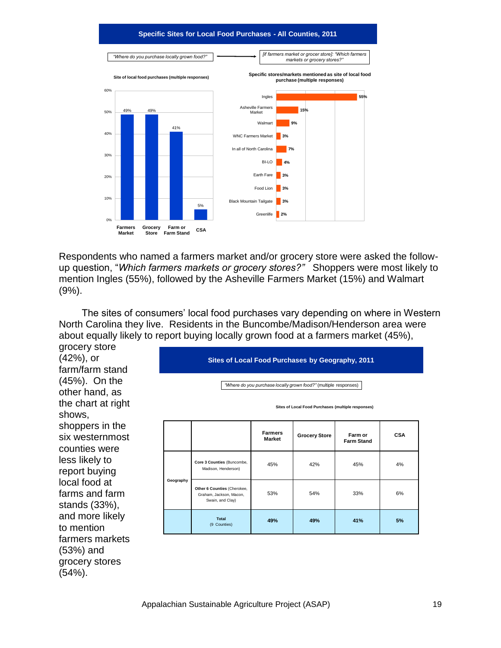#### **Specific Sites for Local Food Purchases - All Counties, 2011**



Respondents who named a farmers market and/or grocery store were asked the followup question, "Which farmers markets or grocery stores?" Shoppers were most likely to mention Ingles (55%), followed by the Asheville Farmers Market (15%) and Walmart (9%).

The sites of consumers' local food purchases vary depending on where in Western North Carolina they live. Residents in the Buncombe/Madison/Henderson area were about equally likely to report buying locally grown food at a farmers market (45%),

grocery store (42%), or farm/farm stand (45%). On the other hand, as the chart at right shows, shoppers in the six westernmost counties were less likely to report buying local food at farms and farm stands (33%), and more likely to mention farmers markets (53%) and grocery stores (54%).

**Sites of Local Food Purchases by Geography, 2011**

*"Where do you purchase locally grown food?"* (multiple responses)

**Sites of Local Food Purchases (multiple responses)**

|           |                                                                            | <b>Farmers</b><br><b>Market</b> | <b>Grocery Store</b> | Farm or<br><b>Farm Stand</b> | <b>CSA</b> |
|-----------|----------------------------------------------------------------------------|---------------------------------|----------------------|------------------------------|------------|
| Geography | Core 3 Counties (Buncombe,<br>Madison, Henderson)                          | 45%                             | 42%                  | 45%                          | 4%         |
|           | Other 6 Counties (Cherokee,<br>Graham, Jackson, Macon,<br>Swain, and Clay) | 53%                             | 54%                  | 33%                          | 6%         |
|           | <b>Total</b><br>(9 Counties)                                               | 49%                             | 49%                  | 41%                          | 5%         |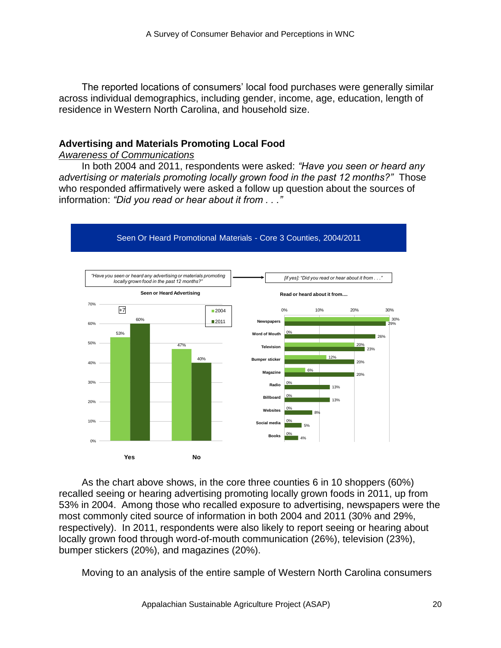The reported locations of consumers' local food purchases were generally similar across individual demographics, including gender, income, age, education, length of residence in Western North Carolina, and household size.

# **Advertising and Materials Promoting Local Food**

#### *Awareness of Communications*

In both 2004 and 2011, respondents were asked: *"Have you seen or heard any advertising or materials promoting locally grown food in the past 12 months?"* Those who responded affirmatively were asked a follow up question about the sources of information: *"Did you read or hear about it from . . ."*



As the chart above shows, in the core three counties 6 in 10 shoppers (60%) recalled seeing or hearing advertising promoting locally grown foods in 2011, up from 53% in 2004. Among those who recalled exposure to advertising, newspapers were the most commonly cited source of information in both 2004 and 2011 (30% and 29%, respectively). In 2011, respondents were also likely to report seeing or hearing about locally grown food through word-of-mouth communication (26%), television (23%), bumper stickers (20%), and magazines (20%).

Moving to an analysis of the entire sample of Western North Carolina consumers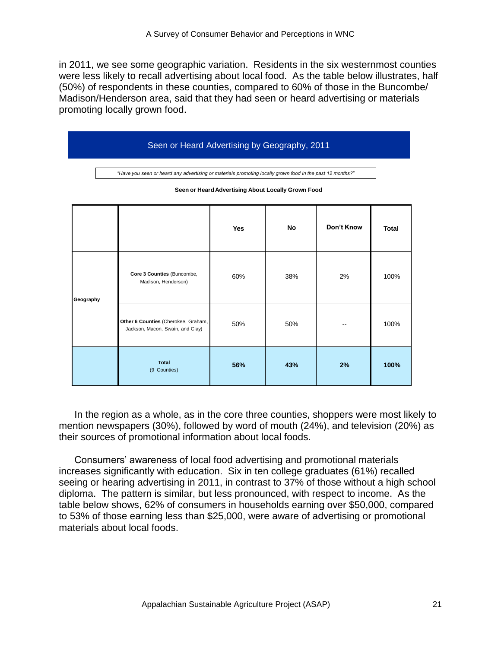in 2011, we see some geographic variation. Residents in the six westernmost counties were less likely to recall advertising about local food. As the table below illustrates, half (50%) of respondents in these counties, compared to 60% of those in the Buncombe/ Madison/Henderson area, said that they had seen or heard advertising or materials promoting locally grown food.

|           | Seen or Heard Advertising by Geography, 2011                                                                                                                    |                                                                         |            |           |            |              |  |  |  |  |  |
|-----------|-----------------------------------------------------------------------------------------------------------------------------------------------------------------|-------------------------------------------------------------------------|------------|-----------|------------|--------------|--|--|--|--|--|
|           | "Have you seen or heard any advertising or materials promoting locally grown food in the past 12 months?"<br>Seen or Heard Advertising About Locally Grown Food |                                                                         |            |           |            |              |  |  |  |  |  |
|           |                                                                                                                                                                 |                                                                         | <b>Yes</b> | <b>No</b> | Don't Know | <b>Total</b> |  |  |  |  |  |
| Geography |                                                                                                                                                                 | Core 3 Counties (Buncombe,<br>Madison, Henderson)                       | 60%        | 38%       | 2%         | 100%         |  |  |  |  |  |
|           |                                                                                                                                                                 | Other 6 Counties (Cherokee, Graham,<br>Jackson, Macon, Swain, and Clay) | 50%        | 50%       |            | 100%         |  |  |  |  |  |
|           |                                                                                                                                                                 | <b>Total</b><br>(9 Counties)                                            | 56%        | 43%       | 2%         | 100%         |  |  |  |  |  |

In the region as a whole, as in the core three counties, shoppers were most likely to mention newspapers (30%), followed by word of mouth (24%), and television (20%) as their sources of promotional information about local foods.

Consumers' awareness of local food advertising and promotional materials increases significantly with education. Six in ten college graduates (61%) recalled seeing or hearing advertising in 2011, in contrast to 37% of those without a high school diploma. The pattern is similar, but less pronounced, with respect to income. As the table below shows, 62% of consumers in households earning over \$50,000, compared to 53% of those earning less than \$25,000, were aware of advertising or promotional materials about local foods.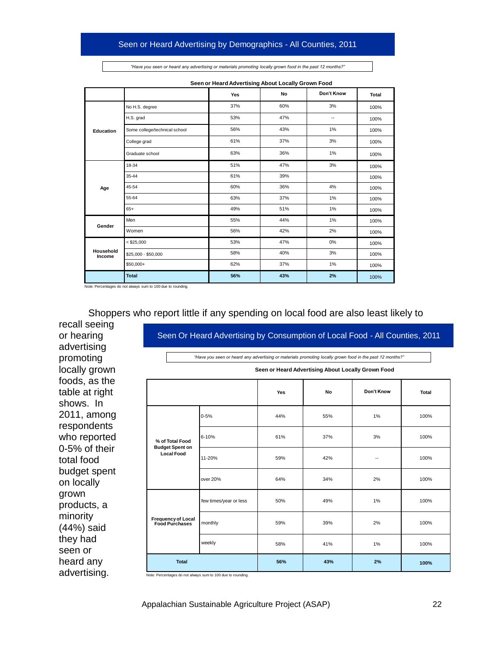$A \rightarrow B$  survey of  $C$  survey of  $C$  and  $P$  and  $P$ 

| "Have you seen or heard any advertising or materials promoting locally grown food in the past 12 months?" |  |
|-----------------------------------------------------------------------------------------------------------|--|
|-----------------------------------------------------------------------------------------------------------|--|

|                     |                               | Yes | No  | Don't Know | <b>Total</b> |
|---------------------|-------------------------------|-----|-----|------------|--------------|
|                     | No H.S. degree                | 37% | 60% | 3%         | 100%         |
|                     | H.S. grad                     | 53% | 47% | --         | 100%         |
| Education           | Some college/technical school | 56% | 43% | 1%         | 100%         |
|                     | College grad                  | 61% | 37% | 3%         | 100%         |
|                     | Graduate school               | 63% | 36% | 1%         | 100%         |
|                     | 18-34                         | 51% | 47% | 3%         | 100%         |
| Age                 | 35-44                         | 61% | 39% |            | 100%         |
|                     | 45-54                         | 60% | 36% | 4%         | 100%         |
|                     | 55-64                         | 63% | 37% | 1%         | 100%         |
|                     | $65+$                         | 49% | 51% | 1%         | 100%         |
| Gender              | Men                           | 55% | 44% | 1%         | 100%         |
|                     | Women                         | 56% | 42% | 2%         | 100%         |
|                     | $<$ \$25,000                  | 53% | 47% | 0%         | 100%         |
| Household<br>Income | \$25,000 - \$50,000           | 58% | 40% | 3%         | 100%         |
|                     | $$50,000+$                    | 62% | 37% | 1%         | 100%         |
|                     | <b>Total</b>                  | 56% | 43% | 2%         | 100%         |

**Seen or Heard Advertising About Locally Grown Food**

Note: Percentages do not always sum to 100 due to rounding.

Shoppers who report little if any spending on local food are also least likely to

recall seeing or hearing advertising promoting locally grown foods, as the table at right shows. In 2011, among respondents who reported 0-5% of their total food budget spent on locally grown products, a minority (44%) said they had seen or heard any advertising.

| 37%<br>60%<br>3%<br>100%<br>degree<br>53%<br>47%<br>ă.<br>ιd<br>100%<br>56%<br>43%<br>1%<br>ollege/technical school<br>100%<br>61%<br>37%<br>3%<br>grad<br>100%<br>63%<br>36%<br>1%<br>e school<br>100%<br>51%<br>47%<br>3%<br>100%<br>61%<br>39%<br>100%<br>60%<br>36%<br>4%<br>100%<br>63%<br>37%<br>1%<br>100%<br>49%<br>51%<br>1%<br>100%<br>55%<br>44%<br>1%<br>100%<br>56%<br>42%<br>2%<br>100%<br>00<br>53%<br>47%<br>0%<br>100%<br>58%<br>40%<br>3%<br>- \$50,000<br>100%<br>62%<br>37%<br>1%<br>$\ddot{}$<br>100%<br>56%<br>43%<br>2%<br>100%<br>sum to 100 due to rounding.<br>no report little if any spending on local food are also least likely to<br>Seen Or Heard Advertising by Consumption of Local Food - All Counties, 2011<br>"Have you seen or heard any advertising or materials promoting locally grown food in the past 12 months?"<br>Seen or Heard Advertising About Locally Grown Food<br>Don't Know<br>No<br>Yes<br>Total<br>1%<br>44%<br>55%<br>100%<br>$0 - 5%$ |
|------------------------------------------------------------------------------------------------------------------------------------------------------------------------------------------------------------------------------------------------------------------------------------------------------------------------------------------------------------------------------------------------------------------------------------------------------------------------------------------------------------------------------------------------------------------------------------------------------------------------------------------------------------------------------------------------------------------------------------------------------------------------------------------------------------------------------------------------------------------------------------------------------------------------------------------------------------------------------------------------|
|                                                                                                                                                                                                                                                                                                                                                                                                                                                                                                                                                                                                                                                                                                                                                                                                                                                                                                                                                                                                |
|                                                                                                                                                                                                                                                                                                                                                                                                                                                                                                                                                                                                                                                                                                                                                                                                                                                                                                                                                                                                |
|                                                                                                                                                                                                                                                                                                                                                                                                                                                                                                                                                                                                                                                                                                                                                                                                                                                                                                                                                                                                |
|                                                                                                                                                                                                                                                                                                                                                                                                                                                                                                                                                                                                                                                                                                                                                                                                                                                                                                                                                                                                |
|                                                                                                                                                                                                                                                                                                                                                                                                                                                                                                                                                                                                                                                                                                                                                                                                                                                                                                                                                                                                |
|                                                                                                                                                                                                                                                                                                                                                                                                                                                                                                                                                                                                                                                                                                                                                                                                                                                                                                                                                                                                |
|                                                                                                                                                                                                                                                                                                                                                                                                                                                                                                                                                                                                                                                                                                                                                                                                                                                                                                                                                                                                |
|                                                                                                                                                                                                                                                                                                                                                                                                                                                                                                                                                                                                                                                                                                                                                                                                                                                                                                                                                                                                |
|                                                                                                                                                                                                                                                                                                                                                                                                                                                                                                                                                                                                                                                                                                                                                                                                                                                                                                                                                                                                |
|                                                                                                                                                                                                                                                                                                                                                                                                                                                                                                                                                                                                                                                                                                                                                                                                                                                                                                                                                                                                |
|                                                                                                                                                                                                                                                                                                                                                                                                                                                                                                                                                                                                                                                                                                                                                                                                                                                                                                                                                                                                |
|                                                                                                                                                                                                                                                                                                                                                                                                                                                                                                                                                                                                                                                                                                                                                                                                                                                                                                                                                                                                |
|                                                                                                                                                                                                                                                                                                                                                                                                                                                                                                                                                                                                                                                                                                                                                                                                                                                                                                                                                                                                |
|                                                                                                                                                                                                                                                                                                                                                                                                                                                                                                                                                                                                                                                                                                                                                                                                                                                                                                                                                                                                |
|                                                                                                                                                                                                                                                                                                                                                                                                                                                                                                                                                                                                                                                                                                                                                                                                                                                                                                                                                                                                |
|                                                                                                                                                                                                                                                                                                                                                                                                                                                                                                                                                                                                                                                                                                                                                                                                                                                                                                                                                                                                |
|                                                                                                                                                                                                                                                                                                                                                                                                                                                                                                                                                                                                                                                                                                                                                                                                                                                                                                                                                                                                |
|                                                                                                                                                                                                                                                                                                                                                                                                                                                                                                                                                                                                                                                                                                                                                                                                                                                                                                                                                                                                |
|                                                                                                                                                                                                                                                                                                                                                                                                                                                                                                                                                                                                                                                                                                                                                                                                                                                                                                                                                                                                |
|                                                                                                                                                                                                                                                                                                                                                                                                                                                                                                                                                                                                                                                                                                                                                                                                                                                                                                                                                                                                |
| 6-10%<br>61%<br>37%<br>3%<br>100%<br>% of Total Food<br><b>Budget Spent on</b>                                                                                                                                                                                                                                                                                                                                                                                                                                                                                                                                                                                                                                                                                                                                                                                                                                                                                                                 |
| <b>Local Food</b><br>11-20%<br>59%<br>42%<br>100%                                                                                                                                                                                                                                                                                                                                                                                                                                                                                                                                                                                                                                                                                                                                                                                                                                                                                                                                              |
| over 20%<br>64%<br>34%<br>2%<br>100%                                                                                                                                                                                                                                                                                                                                                                                                                                                                                                                                                                                                                                                                                                                                                                                                                                                                                                                                                           |
| 1%<br>few times/year or less<br>50%<br>49%<br>100%                                                                                                                                                                                                                                                                                                                                                                                                                                                                                                                                                                                                                                                                                                                                                                                                                                                                                                                                             |
| <b>Frequency of Local</b><br>monthly<br>59%<br>39%<br>2%<br>100%<br><b>Food Purchases</b>                                                                                                                                                                                                                                                                                                                                                                                                                                                                                                                                                                                                                                                                                                                                                                                                                                                                                                      |
|                                                                                                                                                                                                                                                                                                                                                                                                                                                                                                                                                                                                                                                                                                                                                                                                                                                                                                                                                                                                |
| weekly<br>58%<br>41%<br>1%<br>100%                                                                                                                                                                                                                                                                                                                                                                                                                                                                                                                                                                                                                                                                                                                                                                                                                                                                                                                                                             |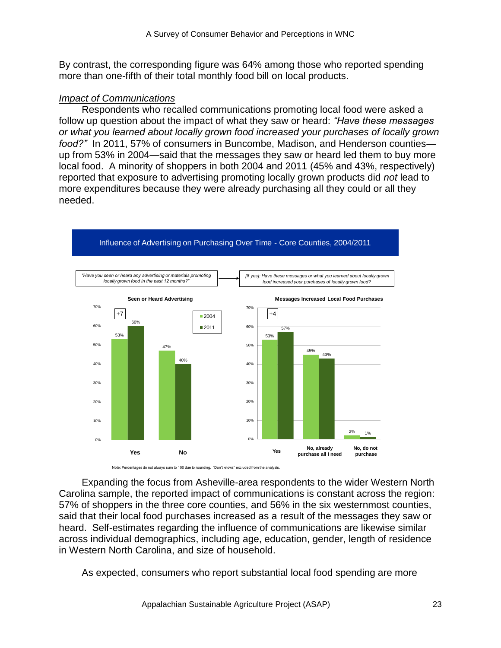By contrast, the corresponding figure was 64% among those who reported spending more than one-fifth of their total monthly food bill on local products.

#### *Impact of Communications*

Respondents who recalled communications promoting local food were asked a follow up question about the impact of what they saw or heard: *"Have these messages or what you learned about locally grown food increased your purchases of locally grown food?"* In 2011, 57% of consumers in Buncombe, Madison, and Henderson counties up from 53% in 2004—said that the messages they saw or heard led them to buy more local food. A minority of shoppers in both 2004 and 2011 (45% and 43%, respectively) reported that exposure to advertising promoting locally grown products did *not* lead to more expenditures because they were already purchasing all they could or all they needed.



#### Influence of Advertising on Purchasing Over Time - Core Counties, 2004/2011

Expanding the focus from Asheville-area respondents to the wider Western North Carolina sample, the reported impact of communications is constant across the region: 57% of shoppers in the three core counties, and 56% in the six westernmost counties, said that their local food purchases increased as a result of the messages they saw or heard. Self-estimates regarding the influence of communications are likewise similar across individual demographics, including age, education, gender, length of residence in Western North Carolina, and size of household.

As expected, consumers who report substantial local food spending are more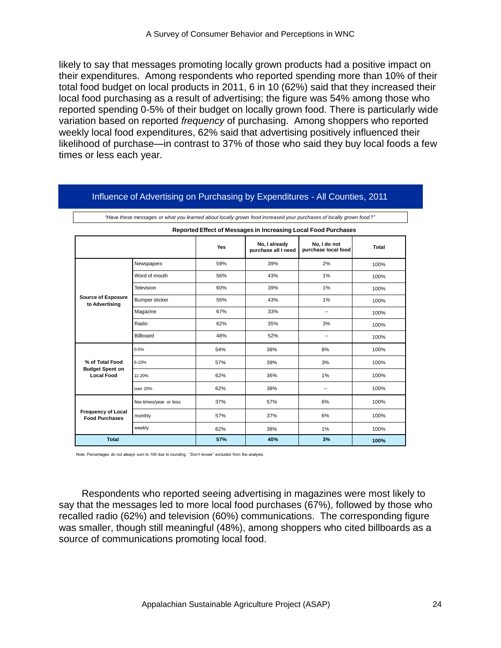likely to say that messages promoting locally grown products had a positive impact on their expenditures. Among respondents who reported spending more than 10% of their total food budget on local products in 2011, 6 in 10 (62%) said that they increased their local food purchasing as a result of advertising; the figure was 54% among those who reported spending 0-5% of their budget on locally grown food. There is particularly wide variation based on reported *frequency* of purchasing. Among shoppers who reported weekly local food expenditures, 62% said that advertising positively influenced their likelihood of purchase—in contrast to 37% of those who said they buy local foods a few times or less each year.

|                                                    | "Have these messages or what you learned about locally grown food increased your purchases of locally grown food?" |     |                                      |                                                                |       |
|----------------------------------------------------|--------------------------------------------------------------------------------------------------------------------|-----|--------------------------------------|----------------------------------------------------------------|-------|
|                                                    |                                                                                                                    |     |                                      | Reported Effect of Messages in Increasing Local Food Purchases |       |
|                                                    |                                                                                                                    | Yes | No, I already<br>purchase all I need | No. I do not<br>purchase local food                            | Total |
|                                                    | Newspapers                                                                                                         | 59% | 39%                                  | 2%                                                             | 100%  |
|                                                    | Word of mouth                                                                                                      | 56% | 43%                                  | 1%                                                             | 100%  |
|                                                    | Television                                                                                                         | 60% | 39%                                  | 1%                                                             | 100%  |
| <b>Source of Exposure</b><br>to Advertising        | Bumper sticker                                                                                                     | 56% | 43%                                  | 1%                                                             | 100%  |
|                                                    | Magazine                                                                                                           | 67% | 33%                                  | $\overline{\phantom{a}}$                                       | 100%  |
|                                                    | Radio                                                                                                              | 62% | 35%                                  | 3%                                                             | 100%  |
|                                                    | Billboard                                                                                                          | 48% | 52%                                  | $\overline{\phantom{a}}$                                       | 100%  |
|                                                    | $0 - 5%$                                                                                                           | 54% | 38%                                  | 8%                                                             | 100%  |
| % of Total Food<br><b>Budget Spent on</b>          | 6-10%                                                                                                              | 57% | 39%                                  | 3%                                                             | 100%  |
| <b>Local Food</b>                                  | 11-20%                                                                                                             | 62% | 36%                                  | 1%                                                             | 100%  |
|                                                    | over 20%                                                                                                           | 62% | 38%                                  | $\overline{\phantom{a}}$                                       | 100%  |
|                                                    | few times/year or less                                                                                             | 37% | 57%                                  | 6%                                                             | 100%  |
| <b>Frequency of Local</b><br><b>Food Purchases</b> | monthly                                                                                                            | 57% | 37%                                  | 6%                                                             | 100%  |
|                                                    | weekly                                                                                                             | 62% | 38%                                  | 1%                                                             | 100%  |
| <b>Total</b>                                       |                                                                                                                    | 57% | 40%                                  | 3%                                                             | 100%  |

#### Influence of Advertising on Purchasing by Expenditures - All Counties, 2011

Note: Percentages do not always sum to 100 due to rounding. "Don't knows" excluded from the analysis.

Respondents who reported seeing advertising in magazines were most likely to say that the messages led to more local food purchases (67%), followed by those who recalled radio (62%) and television (60%) communications. The corresponding figure was smaller, though still meaningful (48%), among shoppers who cited billboards as a source of communications promoting local food.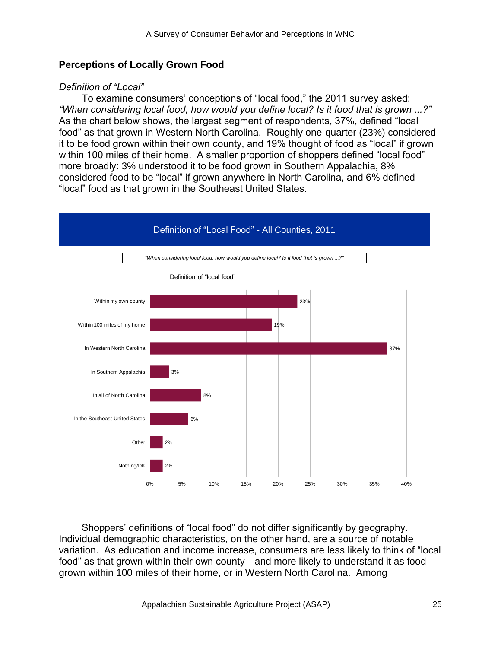### **Perceptions of Locally Grown Food**

### *Definition of "Local"*

To examine consumers' conceptions of "local food," the 2011 survey asked: *"When considering local food, how would you define local? Is it food that is grown ...?"*  As the chart below shows, the largest segment of respondents, 37%, defined "local food" as that grown in Western North Carolina. Roughly one-quarter (23%) considered it to be food grown within their own county, and 19% thought of food as "local" if grown within 100 miles of their home. A smaller proportion of shoppers defined "local food" more broadly: 3% understood it to be food grown in Southern Appalachia, 8% considered food to be "local" if grown anywhere in North Carolina, and 6% defined "local" food as that grown in the Southeast United States.



Shoppers' definitions of "local food" do not differ significantly by geography. Individual demographic characteristics, on the other hand, are a source of notable variation. As education and income increase, consumers are less likely to think of "local food" as that grown within their own county—and more likely to understand it as food grown within 100 miles of their home, or in Western North Carolina. Among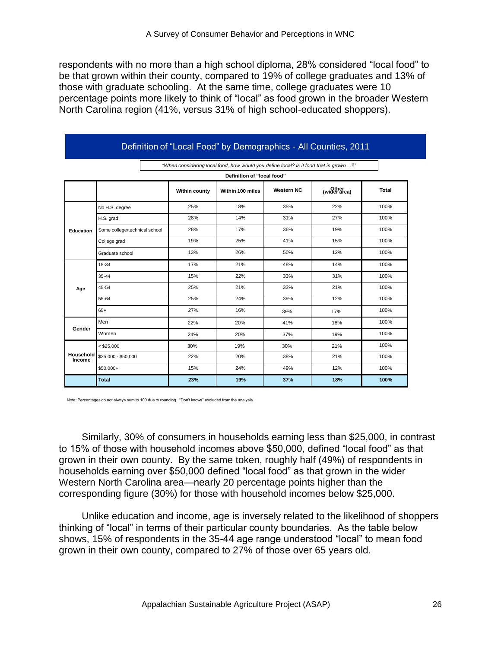respondents with no more than a high school diploma, 28% considered "local food" to be that grown within their county, compared to 19% of college graduates and 13% of those with graduate schooling. At the same time, college graduates were 10 percentage points more likely to think of "local" as food grown in the broader Western North Carolina region (41%, versus 31% of high school-educated shoppers).

|                     |                               |                                                                                       |                            |                   | Definition of "Local Food" by Demographics - All Counties, 2011 |              |
|---------------------|-------------------------------|---------------------------------------------------------------------------------------|----------------------------|-------------------|-----------------------------------------------------------------|--------------|
|                     |                               | "When considering local food, how would you define local? Is it food that is grown ?" |                            |                   |                                                                 |              |
|                     |                               |                                                                                       | Definition of "local food" |                   |                                                                 |              |
|                     |                               | <b>Within county</b>                                                                  | Within 100 miles           | <b>Western NC</b> | (wider area)                                                    | <b>Total</b> |
|                     | No H.S. degree                | 25%                                                                                   | 18%                        | 35%               | 22%                                                             | 100%         |
|                     | H.S. grad                     | 28%                                                                                   | 14%                        | 31%               | 27%                                                             | 100%         |
| Education           | Some college/technical school | 28%                                                                                   | 17%                        | 36%               | 19%                                                             | 100%         |
|                     | College grad                  | 19%                                                                                   | 25%                        | 41%               | 15%                                                             | 100%         |
|                     | Graduate school               | 13%                                                                                   | 26%                        | 50%               | 12%                                                             | 100%         |
|                     | 18-34                         | 17%                                                                                   | 21%                        | 48%               | 14%                                                             | 100%         |
|                     | 35-44                         | 15%                                                                                   | 22%                        | 33%               | 31%                                                             | 100%         |
| Age                 | 45-54                         | 25%                                                                                   | 21%                        | 33%               | 21%                                                             | 100%         |
|                     | 55-64                         | 25%                                                                                   | 24%                        | 39%               | 12%                                                             | 100%         |
|                     | $65+$                         | 27%                                                                                   | 16%                        | 39%               | 17%                                                             | 100%         |
|                     | Men                           | 22%                                                                                   | 20%                        | 41%               | 18%                                                             | 100%         |
| Gender              | Women                         | 24%                                                                                   | 20%                        | 37%               | 19%                                                             | 100%         |
|                     | $<$ \$25,000                  | 30%                                                                                   | 19%                        | 30%               | 21%                                                             | 100%         |
| Household<br>Income | \$25,000 - \$50,000           | 22%                                                                                   | 20%                        | 38%               | 21%                                                             | 100%         |
|                     | \$50,000+                     | 15%                                                                                   | 24%                        | 49%               | 12%                                                             | 100%         |
|                     | <b>Total</b>                  | 23%                                                                                   | 19%                        | 37%               | 18%                                                             | 100%         |

Note: Percentages do not always sum to 100 due to rounding. "Don't knows" excluded from the analysis

Similarly, 30% of consumers in households earning less than \$25,000, in contrast to 15% of those with household incomes above \$50,000, defined "local food" as that grown in their own county. By the same token, roughly half (49%) of respondents in households earning over \$50,000 defined "local food" as that grown in the wider Western North Carolina area—nearly 20 percentage points higher than the corresponding figure (30%) for those with household incomes below \$25,000.

Unlike education and income, age is inversely related to the likelihood of shoppers thinking of "local" in terms of their particular county boundaries. As the table below shows, 15% of respondents in the 35-44 age range understood "local" to mean food grown in their own county, compared to 27% of those over 65 years old.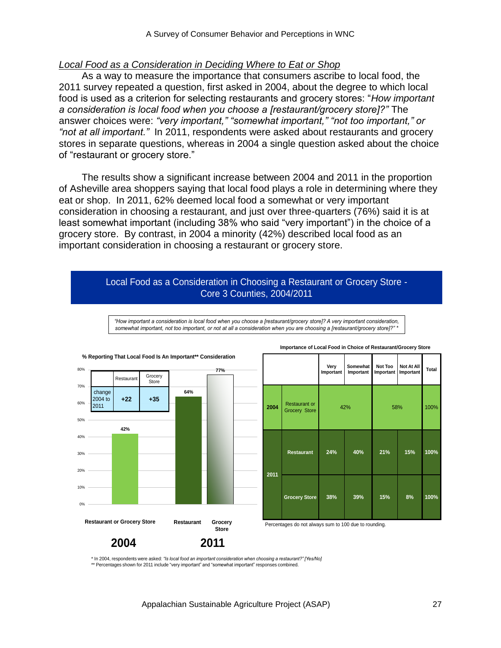### *Local Food as a Consideration in Deciding Where to Eat or Shop*

As a way to measure the importance that consumers ascribe to local food, the 2011 survey repeated a question, first asked in 2004, about the degree to which local food is used as a criterion for selecting restaurants and grocery stores: "How *important a consideration is local food when you choose a [restaurant/grocery store]?"* The answer choices were: *"very important," "somewhat important," "not too important," or "not at all important."* In 2011, respondents were asked about restaurants and grocery stores in separate questions, whereas in 2004 a single question asked about the choice of "restaurant or grocery store."

The results show a significant increase between 2004 and 2011 in the proportion of Asheville area shoppers saying that local food plays a role in determining where they eat or shop. In 2011, 62% deemed local food a somewhat or very important consideration in choosing a restaurant, and just over three-quarters (76%) said it is at least somewhat important (including 38% who said "very important") in the choice of a grocery store. By contrast, in 2004 a minority (42%) described local food as an important consideration in choosing a restaurant or grocery store.

### Local Food as a Consideration in Choosing a Restaurant or Grocery Store - Core 3 Counties, 2004/2011



*"How important a consideration is local food when you choose a [restaurant/grocery store]? A very important consideration, somewhat important, not too important, or not at all a consideration when you are choosing a [restaurant/grocery store]?" \**

\* In 2004, respondents were asked: *"Is local food an important consideration when choosing a restaurant?" [Yes/No]* \*\* Percentages shown for 2011 include "very important" and "somewhat important" responses combined.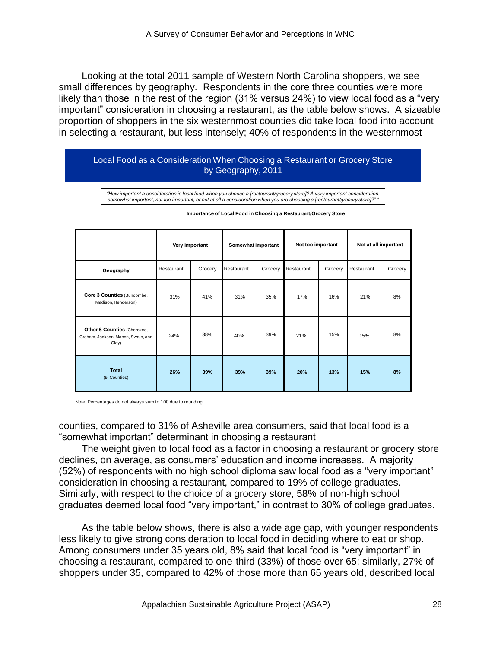Looking at the total 2011 sample of Western North Carolina shoppers, we see small differences by geography. Respondents in the core three counties were more likely than those in the rest of the region  $(31\%$  versus  $24\%)$  to view local food as a "very important‖ consideration in choosing a restaurant, as the table below shows. A sizeable proportion of shoppers in the six westernmost counties did take local food into account in selecting a restaurant, but less intensely; 40% of respondents in the westernmost

#### Local Food as a Consideration When Choosing a Restaurant or Grocery Store by Geography, 2011

*"How important a consideration is local food when you choose a [restaurant/grocery store]? A very important consideration, somewhat important, not too important, or not at all a consideration when you are choosing a [restaurant/grocery store]?" \**

|                                                                            |            | Very important | Somewhat important |         | Not too important |         | Not at all important |         |  |
|----------------------------------------------------------------------------|------------|----------------|--------------------|---------|-------------------|---------|----------------------|---------|--|
| Geography                                                                  | Restaurant | Grocery        | Restaurant         | Grocery | Restaurant        | Grocery | Restaurant           | Grocery |  |
| Core 3 Counties (Buncombe,<br>Madison, Henderson)                          | 31%        | 41%            | 31%                | 35%     | 17%               | 16%     | 21%                  | 8%      |  |
| Other 6 Counties (Cherokee,<br>Graham, Jackson, Macon, Swain, and<br>Clay) | 24%        | 38%            | 40%                | 39%     | 21%               | 15%     | 15%                  | 8%      |  |
| <b>Total</b><br>(9 Counties)                                               | 26%        | 39%            | 39%                | 39%     | 20%               | 13%     | 15%                  | 8%      |  |

#### **Importance of Local Food in Choosing a Restaurant/Grocery Store**

Note: Percentages do not always sum to 100 due to rounding.

counties, compared to 31% of Asheville area consumers, said that local food is a ―somewhat important‖ determinant in choosing a restaurant

The weight given to local food as a factor in choosing a restaurant or grocery store declines, on average, as consumers' education and income increases. A majority (52%) of respondents with no high school diploma saw local food as a "very important" consideration in choosing a restaurant, compared to 19% of college graduates. Similarly, with respect to the choice of a grocery store, 58% of non-high school graduates deemed local food "very important," in contrast to 30% of college graduates.

As the table below shows, there is also a wide age gap, with younger respondents less likely to give strong consideration to local food in deciding where to eat or shop. Among consumers under 35 years old, 8% said that local food is "very important" in choosing a restaurant, compared to one-third (33%) of those over 65; similarly, 27% of shoppers under 35, compared to 42% of those more than 65 years old, described local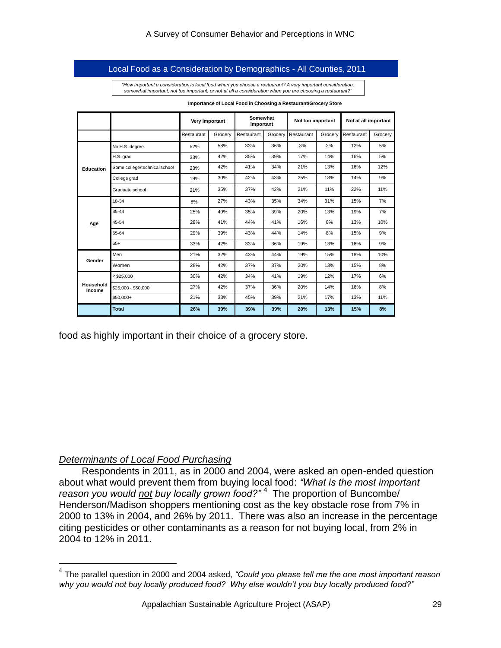#### Local Food as a Consideration by Demographics - All Counties, 2011

*"How important a consideration is local food when you choose a restaurant? A very important consideration, somewhat important, not too important, or not at all a consideration when you are choosing a restaurant?"* 

|                     |                               | Very important |            | Somewhat<br>important |         | Not too important |         | Not at all important |         |  |
|---------------------|-------------------------------|----------------|------------|-----------------------|---------|-------------------|---------|----------------------|---------|--|
|                     |                               | Restaurant     | Grocery    | Restaurant            | Grocery | Restaurant        | Grocery | Restaurant           | Grocerv |  |
|                     | No H.S. degree                | 52%            | 58%        | 33%                   | 36%     | 3%                | 2%      | 12%                  | 5%      |  |
|                     | H.S. grad                     | 33%            | 42%        | 35%                   | 39%     | 17%               | 14%     | 16%                  | 5%      |  |
| Education           | Some college/technical school | 23%            | 42%<br>41% |                       | 34%     | 21%               | 13%     | 16%                  | 12%     |  |
|                     | College grad                  | 19%            | 30%        | 42%                   | 43%     | 25%               | 18%     | 14%                  | 9%      |  |
|                     | Graduate school               | 21%            | 35%        | 37%                   | 42%     | 21%               | 11%     | 22%                  | 11%     |  |
| Age                 | 18-34                         | 8%             | 27%        | 43%                   | 35%     | 34%               | 31%     | 15%                  | 7%      |  |
|                     | $35 - 44$                     | 25%            | 40%        | 35%                   | 39%     | 20%               | 13%     | 19%                  | 7%      |  |
|                     | 45-54                         | 28%            | 41%        | 44%                   | 41%     | 16%               | 8%      | 13%                  | 10%     |  |
|                     | 55-64                         | 29%            | 39%        | 43%                   | 44%     | 14%               | 8%      | 15%                  | 9%      |  |
|                     | $65+$                         | 33%            | 42%        | 33%                   | 36%     | 19%               | 13%     | 16%                  | 9%      |  |
| Gender              | Men                           | 21%            | 32%        | 43%                   | 44%     | 19%               | 15%     | 18%                  | 10%     |  |
|                     | Women                         | 28%            | 42%        | 37%                   | 37%     | 20%               | 13%     | 15%                  | 8%      |  |
|                     | $<$ \$25.000                  | 30%            | 42%        | 34%                   | 41%     | 19%               | 12%     | 17%                  | 6%      |  |
| Household<br>Income | \$25,000 - \$50,000           | 27%            | 42%        | 37%                   | 36%     | 20%               | 14%     | 16%                  | 8%      |  |
|                     | $$50.000+$                    | 21%            | 33%        | 45%                   | 39%     | 21%               | 17%     | 13%                  | 11%     |  |
|                     | <b>Total</b>                  | 26%            | 39%        | 39%                   | 39%     | 20%               | 13%     | 15%                  | 8%      |  |

**Importance of Local Food in Choosing a Restaurant/Grocery Store** 

food as highly important in their choice of a grocery store.

#### *Determinants of Local Food Purchasing*

 $\overline{a}$ 

Respondents in 2011, as in 2000 and 2004, were asked an open-ended question about what would prevent them from buying local food: *"What is the most important*  reason you would not buy locally grown food?"<sup>4</sup> The proportion of Buncombe/ Henderson/Madison shoppers mentioning cost as the key obstacle rose from 7% in 2000 to 13% in 2004, and 26% by 2011. There was also an increase in the percentage citing pesticides or other contaminants as a reason for not buying local, from 2% in 2004 to 12% in 2011.

<sup>4</sup> The parallel question in 2000 and 2004 asked, *"Could you please tell me the one most important reason why you would not buy locally produced food? Why else wouldn"t you buy locally produced food?"*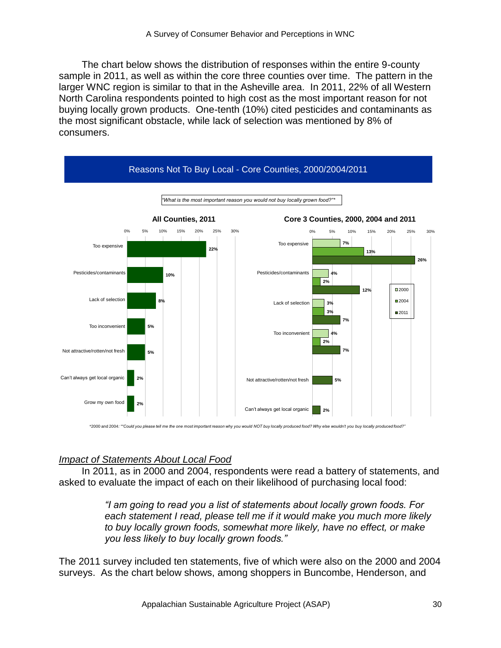The chart below shows the distribution of responses within the entire 9-county sample in 2011, as well as within the core three counties over time. The pattern in the larger WNC region is similar to that in the Asheville area. In 2011, 22% of all Western North Carolina respondents pointed to high cost as the most important reason for not buying locally grown products. One-tenth (10%) cited pesticides and contaminants as the most significant obstacle, while lack of selection was mentioned by 8% of consumers.



\*2000 and 2004*: ""Could you please tell me the one most important reason why you would NOT buy locally produced food? Why else wouldn"t you buy locally produced food?"*

# *Impact of Statements About Local Food*

In 2011, as in 2000 and 2004, respondents were read a battery of statements, and asked to evaluate the impact of each on their likelihood of purchasing local food:

> *"I am going to read you a list of statements about locally grown foods. For each statement I read, please tell me if it would make you much more likely to buy locally grown foods, somewhat more likely, have no effect, or make you less likely to buy locally grown foods."*

The 2011 survey included ten statements, five of which were also on the 2000 and 2004 surveys. As the chart below shows, among shoppers in Buncombe, Henderson, and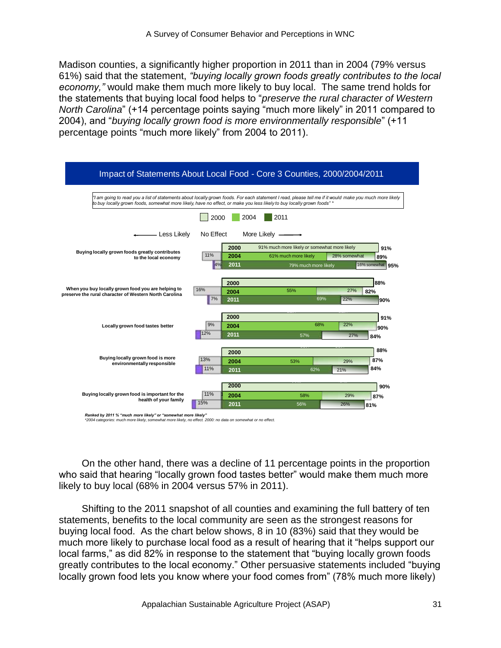Madison counties, a significantly higher proportion in 2011 than in 2004 (79% versus 61%) said that the statement, *"buying locally grown foods greatly contributes to the local economy,"* would make them much more likely to buy local. The same trend holds for the statements that buying local food helps to "*preserve the rural character of Western North Carolina*" (+14 percentage points saying "much more likely" in 2011 compared to 2004), and "buying locally grown food is more environmentally responsible" (+11 percentage points "much more likely" from 2004 to 2011).



*<sup>\*2004</sup> categories: much more likely, somewhat more likely, no effect. 2000: no data on somewhat or no effect.* 

On the other hand, there was a decline of 11 percentage points in the proportion who said that hearing "locally grown food tastes better" would make them much more likely to buy local (68% in 2004 versus 57% in 2011).

Shifting to the 2011 snapshot of all counties and examining the full battery of ten statements, benefits to the local community are seen as the strongest reasons for buying local food. As the chart below shows, 8 in 10 (83%) said that they would be much more likely to purchase local food as a result of hearing that it "helps support our local farms," as did 82% in response to the statement that "buying locally grown foods greatly contributes to the local economy." Other persuasive statements included "buying locally grown food lets you know where your food comes from" (78% much more likely)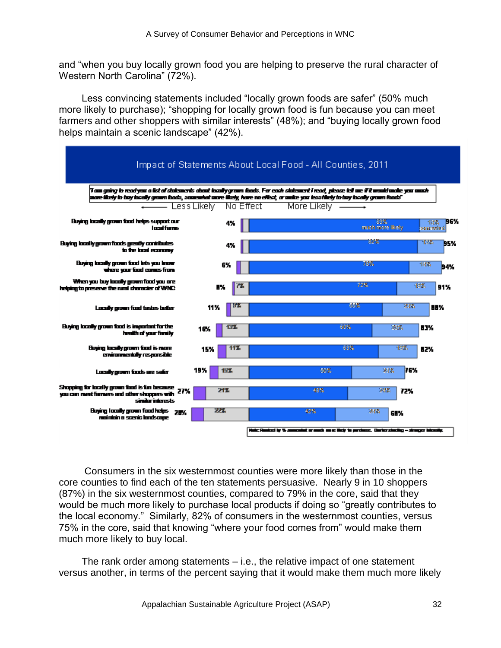and "when you buy locally grown food you are helping to preserve the rural character of Western North Carolina" (72%).

Less convincing statements included "locally grown foods are safer" (50% much more likely to purchase); "shopping for locally grown food is fun because you can meet farmers and other shoppers with similar interests" (48%); and "buying locally grown food helps maintain a scenic landscape" (42%).



Consumers in the six westernmost counties were more likely than those in the core counties to find each of the ten statements persuasive. Nearly 9 in 10 shoppers (87%) in the six westernmost counties, compared to 79% in the core, said that they would be much more likely to purchase local products if doing so "greatly contributes to the local economy.‖ Similarly, 82% of consumers in the westernmost counties, versus 75% in the core, said that knowing "where your food comes from" would make them much more likely to buy local.

The rank order among statements – i.e., the relative impact of one statement versus another, in terms of the percent saying that it would make them much more likely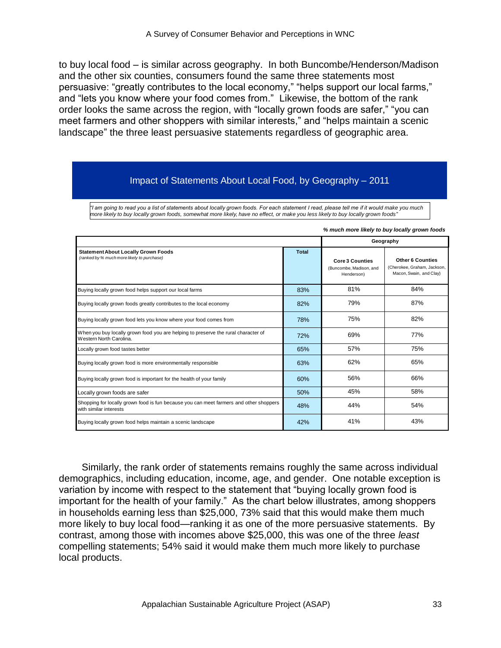to buy local food – is similar across geography. In both Buncombe/Henderson/Madison and the other six counties, consumers found the same three statements most persuasive: "greatly contributes to the local economy," "helps support our local farms," and "lets you know where your food comes from." Likewise, the bottom of the rank order looks the same across the region, with "locally grown foods are safer," "you can meet farmers and other shoppers with similar interests," and "helps maintain a scenic landscape" the three least persuasive statements regardless of geographic area.

# Impact of Statements About Local Food, by Geography – 2011

*"I am going to read you a list of statements about locally grown foods. For each statement I read, please tell me if it would make you much more likely to buy locally grown foods, somewhat more likely, have no effect, or make you less likely to buy locally grown foods"*

|                                                                                                                  |              | % much more likely to buy locally grown foods                   |                                                                                   |  |  |  |
|------------------------------------------------------------------------------------------------------------------|--------------|-----------------------------------------------------------------|-----------------------------------------------------------------------------------|--|--|--|
|                                                                                                                  |              |                                                                 | Geography                                                                         |  |  |  |
| <b>Statement About Locally Grown Foods</b><br>(ranked by % much more likely to purchase)                         | <b>Total</b> | <b>Core 3 Counties</b><br>(Buncombe, Madison, and<br>Henderson) | <b>Other 6 Counties</b><br>(Cherokee, Graham, Jackson,<br>Macon, Swain, and Clay) |  |  |  |
| Buying locally grown food helps support our local farms                                                          | 83%          | 81%                                                             | 84%                                                                               |  |  |  |
| Buying locally grown foods greatly contributes to the local economy                                              | 82%          | 79%                                                             | 87%                                                                               |  |  |  |
| Buying locally grown food lets you know where your food comes from                                               | 78%          | 75%                                                             | 82%                                                                               |  |  |  |
| When you buy locally grown food you are helping to preserve the rural character of<br>Western North Carolina.    | 72%          | 69%                                                             | 77%                                                                               |  |  |  |
| Locally grown food tastes better                                                                                 | 65%          | 57%                                                             | 75%                                                                               |  |  |  |
| Buying locally grown food is more environmentally responsible                                                    | 63%          | 62%                                                             | 65%                                                                               |  |  |  |
| Buying locally grown food is important for the health of your family                                             | 60%          | 56%                                                             | 66%                                                                               |  |  |  |
| Locally grown foods are safer                                                                                    | 50%          | 45%                                                             | 58%                                                                               |  |  |  |
| Shopping for locally grown food is fun because you can meet farmers and other shoppers<br>with similar interests | 48%          | 44%                                                             | 54%                                                                               |  |  |  |
| Buying locally grown food helps maintain a scenic landscape                                                      | 42%          | 41%                                                             | 43%                                                                               |  |  |  |

Similarly, the rank order of statements remains roughly the same across individual demographics, including education, income, age, and gender. One notable exception is variation by income with respect to the statement that "buying locally grown food is important for the health of your family." As the chart below illustrates, among shoppers in households earning less than \$25,000, 73% said that this would make them much more likely to buy local food—ranking it as one of the more persuasive statements. By contrast, among those with incomes above \$25,000, this was one of the three *least* compelling statements; 54% said it would make them much more likely to purchase local products.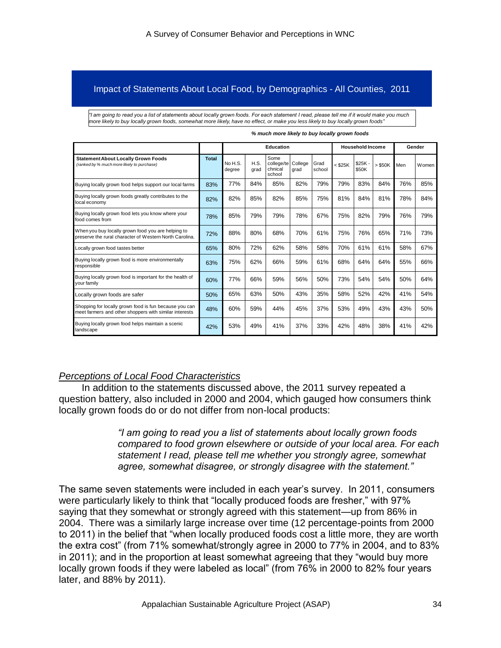#### Impact of Statements About Local Food, by Demographics - All Counties, 2011

*"I am going to read you a list of statements about locally grown foods. For each statement I read, please tell me if it would make you much more likely to buy locally grown foods, somewhat more likely, have no effect, or make you less likely to buy locally grown foods"*

|                                                                                                                                                                                                                                                                                                                                                                                                                                                                                                                                                                                                                                                                                                                                   |              |                   |              | <b>Education</b>                        |                 |                |         | <b>Household Income</b> |         |     | Gender |
|-----------------------------------------------------------------------------------------------------------------------------------------------------------------------------------------------------------------------------------------------------------------------------------------------------------------------------------------------------------------------------------------------------------------------------------------------------------------------------------------------------------------------------------------------------------------------------------------------------------------------------------------------------------------------------------------------------------------------------------|--------------|-------------------|--------------|-----------------------------------------|-----------------|----------------|---------|-------------------------|---------|-----|--------|
| <b>Statement About Locally Grown Foods</b><br>(ranked by % much more likely to purchase)                                                                                                                                                                                                                                                                                                                                                                                                                                                                                                                                                                                                                                          | <b>Total</b> | No H.S.<br>degree | H.S.<br>grad | Some<br>college/te<br>chnical<br>school | College<br>grad | Grad<br>school | < \$25K | $$25K -$<br>\$50K       | > \$50K | Men | Women  |
| Buying locally grown food helps support our local farms                                                                                                                                                                                                                                                                                                                                                                                                                                                                                                                                                                                                                                                                           | 83%          | 77%               | 84%          | 85%                                     | 82%             | 79%            | 79%     | 83%                     | 84%     | 76% | 85%    |
| Buying locally grown foods greatly contributes to the<br>local economy                                                                                                                                                                                                                                                                                                                                                                                                                                                                                                                                                                                                                                                            | 82%          | 82%               | 85%          | 82%                                     | 85%             | 75%            | 81%     | 84%                     | 81%     | 78% | 84%    |
| Buying locally grown food lets you know where your<br>food comes from                                                                                                                                                                                                                                                                                                                                                                                                                                                                                                                                                                                                                                                             | 78%          | 85%               | 79%          | 79%                                     | 78%             | 67%            | 75%     | 82%                     | 79%     | 76% | 79%    |
| When you buy locally grown food you are helping to<br>preserve the rural character of Western North Carolina.                                                                                                                                                                                                                                                                                                                                                                                                                                                                                                                                                                                                                     | 72%          | 88%               | 80%          | 68%                                     | 70%             | 61%            | 75%     | 76%                     | 65%     | 71% | 73%    |
| Locally grown food tastes better                                                                                                                                                                                                                                                                                                                                                                                                                                                                                                                                                                                                                                                                                                  | 65%          | 80%               | 72%          | 62%                                     | 58%             | 58%            | 70%     | 61%                     | 61%     | 58% | 67%    |
| Buying locally grown food is more environmentally<br>responsible                                                                                                                                                                                                                                                                                                                                                                                                                                                                                                                                                                                                                                                                  | 63%          | 75%               | 62%          | 66%                                     | 59%             | 61%            | 68%     | 64%                     | 64%     | 55% | 66%    |
| Buying locally grown food is important for the health of<br>your family                                                                                                                                                                                                                                                                                                                                                                                                                                                                                                                                                                                                                                                           | 60%          | 77%               | 66%          | 59%                                     | 56%             | 50%            | 73%     | 54%                     | 54%     | 50% | 64%    |
| Locally grown foods are safer                                                                                                                                                                                                                                                                                                                                                                                                                                                                                                                                                                                                                                                                                                     | 50%          | 65%               | 63%          | 50%                                     | 43%             | 35%            | 58%     | 52%                     | 42%     | 41% | 54%    |
| Shopping for locally grown food is fun because you can<br>meet farmers and other shoppers with similar interests                                                                                                                                                                                                                                                                                                                                                                                                                                                                                                                                                                                                                  | 48%          | 60%               | 59%          | 44%                                     | 45%             | 37%            | 53%     | 49%                     | 43%     | 43% | 50%    |
| Buying locally grown food helps maintain a scenic<br>49%<br>37%<br>33%<br>42%<br>38%<br>41%<br>53%<br>41%<br>48%<br>42%<br>landscape                                                                                                                                                                                                                                                                                                                                                                                                                                                                                                                                                                                              |              |                   |              |                                         |                 |                |         |                         |         |     | 42%    |
| estion battery, also included in 2000 and 2004, which gauged how consumers think<br>ally grown foods do or do not differ from non-local products:                                                                                                                                                                                                                                                                                                                                                                                                                                                                                                                                                                                 |              |                   |              |                                         |                 |                |         |                         |         |     |        |
| "I am going to read you a list of statements about locally grown foods<br>compared to food grown elsewhere or outside of your local area. For each<br>statement I read, please tell me whether you strongly agree, somewhat<br>agree, somewhat disagree, or strongly disagree with the statement."                                                                                                                                                                                                                                                                                                                                                                                                                                |              |                   |              |                                         |                 |                |         |                         |         |     |        |
| e same seven statements were included in each year's survey. In 2011, consumers<br>re particularly likely to think that "locally produced foods are fresher," with 97%<br>ing that they somewhat or strongly agreed with this statement—up from 86% in<br>04. There was a similarly large increase over time (12 percentage-points from 2000<br>2011) in the belief that "when locally produced foods cost a little more, they are worth<br>extra cost" (from 71% somewhat/strongly agree in 2000 to 77% in 2004, and to 83%<br>2011); and in the proportion at least somewhat agreeing that they "would buy more<br>ally grown foods if they were labeled as local" (from 76% in 2000 to 82% four years<br>er, and 88% by 2011). |              |                   |              |                                         |                 |                |         |                         |         |     |        |
| Appalachian Sustainable Agriculture Project (ASAP)                                                                                                                                                                                                                                                                                                                                                                                                                                                                                                                                                                                                                                                                                |              |                   |              |                                         |                 |                |         |                         |         |     |        |

#### *% much more likely to buy locally grown foods*

#### *Perceptions of Local Food Characteristics*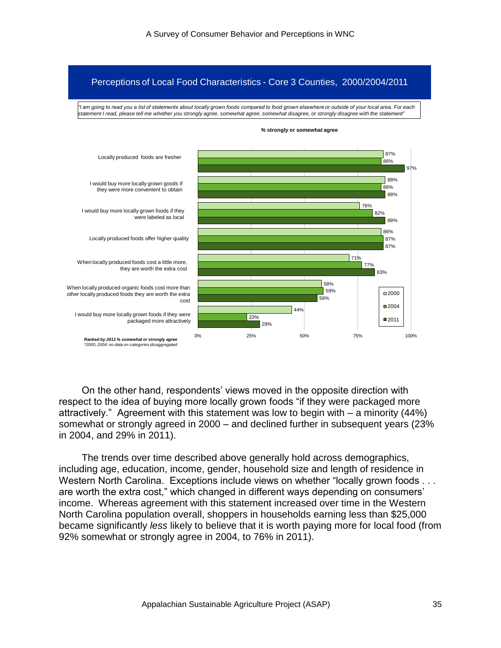#### Perceptions of Local Food Characteristics - Core 3 Counties, 2000/2004/2011

*"I am going to read you a list of statements about locally grown foods compared to food grown elsewhere or outside of your local area. For each statement I read, please tell me whether you strongly agree, somewhat agree, somewhat disagree, or strongly disagree with the statement"*



*%* **strongly or somewhat agree**

On the other hand, respondents' views moved in the opposite direction with respect to the idea of buying more locally grown foods "if they were packaged more attractively." Agreement with this statement was low to begin with  $-$  a minority (44%) somewhat or strongly agreed in 2000 – and declined further in subsequent years (23% in 2004, and 29% in 2011).

The trends over time described above generally hold across demographics, including age, education, income, gender, household size and length of residence in Western North Carolina. Exceptions include views on whether "locally grown foods . . . are worth the extra cost," which changed in different ways depending on consumers' income. Whereas agreement with this statement increased over time in the Western North Carolina population overall, shoppers in households earning less than \$25,000 became significantly *less* likely to believe that it is worth paying more for local food (from 92% somewhat or strongly agree in 2004, to 76% in 2011).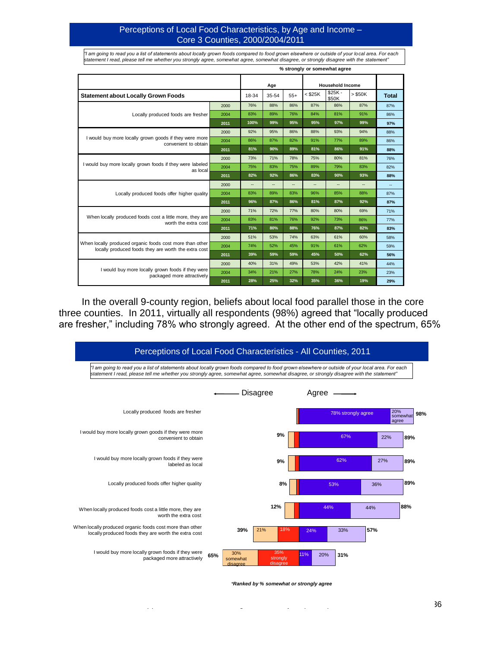#### Perceptions of Local Food Characteristics, by Age and Income – Core 3 Counties, 2000/2004/2011

*%* **strongly or somewhat agree** *"I am going to read you a list of statements about locally grown foods compared to food grown elsewhere or outside of your lo cal area. For each statement I read, please tell me whether you strongly agree, somewhat agree, somewhat disagree, or strongly disagree with the statement"*

|                                                                                                                  |      |       | Age            |       |         | <b>Household Income</b> |           |              |
|------------------------------------------------------------------------------------------------------------------|------|-------|----------------|-------|---------|-------------------------|-----------|--------------|
| <b>Statement about Locally Grown Foods</b>                                                                       |      | 18-34 | 35-54          | $55+$ | < \$25K | $$25K -$<br>\$50K       | $>$ \$50K | <b>Total</b> |
|                                                                                                                  | 2000 | 76%   | 88%            | 86%   | 87%     | 86%                     | 87%       | 87%          |
| Locally produced foods are fresher                                                                               | 2004 | 83%   | 89%            | 76%   | 84%     | 81%                     | 91%       | 86%          |
|                                                                                                                  | 2011 | 100%  | 99%            | 95%   | 95%     | 97%                     | 99%       | 97%          |
|                                                                                                                  | 2000 | 92%   | 95%            | 86%   | 88%     | 93%                     | 94%       | 88%          |
| I would buy more locally grown goods if they were more<br>convenient to obtain                                   | 2004 | 86%   | 87%            | 82%   | 91%     | 77%                     | 89%       | 86%          |
|                                                                                                                  | 2011 | 81%   | 90%            | 89%   | 81%     | 86%                     | 91%       | 88%          |
|                                                                                                                  | 2000 | 73%   | 71%            | 78%   | 75%     | 80%                     | 81%       | 76%          |
| I would buy more locally grown foods if they were labeled<br>as local                                            | 2004 | 75%   | 83%            | 75%   | 89%     | 79%                     | 83%       | 82%          |
|                                                                                                                  | 2011 | 82%   | 92%            | 86%   | 83%     | 90%                     | 93%       | 88%          |
| Locally produced foods offer higher quality                                                                      | 2000 | --    | $\overline{a}$ | --    | --      | --                      |           | $\sim$       |
|                                                                                                                  | 2004 | 83%   | 89%            | 83%   | 96%     | 85%                     | 88%       | 87%          |
|                                                                                                                  | 2011 | 96%   | 87%            | 86%   | 81%     | 87%                     | 92%       | 87%          |
|                                                                                                                  | 2000 | 71%   | 72%            | 77%   | 80%     | 80%                     | 69%       | 71%          |
| When locally produced foods cost a little more, they are<br>worth the extra cost                                 | 2004 | 83%   | 81%            | 76%   | 92%     | 73%                     | 86%       | 77%          |
|                                                                                                                  | 2011 | 71%   | 80%            | 88%   | 76%     | 87%                     | 82%       | 83%          |
|                                                                                                                  | 2000 | 51%   | 53%            | 74%   | 63%     | 61%                     | 60%       | 58%          |
| When locally produced organic foods cost more than other<br>locally produced foods they are worth the extra cost | 2004 | 74%   | 52%            | 45%   | 91%     | 61%                     | 62%       | 59%          |
|                                                                                                                  | 2011 | 39%   | 59%            | 59%   | 45%     | 50%                     | 62%       | 56%          |
|                                                                                                                  | 2000 | 40%   | 31%            | 49%   | 53%     | 42%                     | 41%       | 44%          |
| I would buy more locally grown foods if they were<br>packaged more attractively                                  | 2004 | 34%   | 21%            | 27%   | 78%     | 24%                     | 23%       | 23%          |
|                                                                                                                  | 2011 | 28%   | 25%            | 32%   | 35%     | 36%                     | 19%       | 29%          |

In the overall 9-county region, beliefs about local food parallel those in the core three counties. In 2011, virtually all respondents (98%) agreed that "locally produced are fresher," including 78% who strongly agreed. At the other end of the spectrum, 65%



*\*Ranked by % somewhat or strongly agree*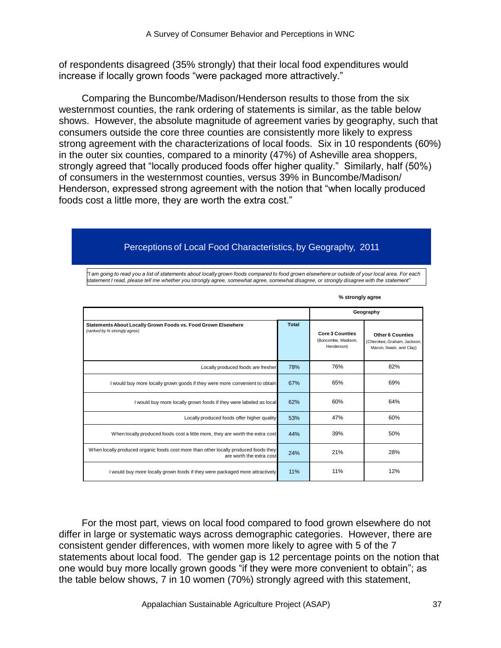of respondents disagreed (35% strongly) that their local food expenditures would increase if locally grown foods "were packaged more attractively."

Comparing the Buncombe/Madison/Henderson results to those from the six westernmost counties, the rank ordering of statements is similar, as the table below shows. However, the absolute magnitude of agreement varies by geography, such that consumers outside the core three counties are consistently more likely to express strong agreement with the characterizations of local foods. Six in 10 respondents (60%) in the outer six counties, compared to a minority (47%) of Asheville area shoppers, strongly agreed that "locally produced foods offer higher quality." Similarly, half (50%) of consumers in the westernmost counties, versus 39% in Buncombe/Madison/ Henderson, expressed strong agreement with the notion that "when locally produced foods cost a little more, they are worth the extra cost."

# Perceptions of Local Food Characteristics, by Geography, 2011

*"I am going to read you a list of statements about locally grown foods compared to food grown elsewhere or outside of your local area. For each statement I read, please tell me whether you strongly agree, somewhat agree, somewhat disagree, or strongly disagree with the statement"*

|                                                                                                                  |              |                                                             | Geography                                                                         |
|------------------------------------------------------------------------------------------------------------------|--------------|-------------------------------------------------------------|-----------------------------------------------------------------------------------|
| Statements About Locally Grown Foods vs. Food Grown Elsewhere<br>(ranked by % strongly agree)                    | <b>Total</b> | <b>Core 3 Counties</b><br>(Buncombe, Madison,<br>Henderson) | <b>Other 6 Counties</b><br>(Cherokee, Graham, Jackson,<br>Macon, Swain, and Clay) |
| Locally produced foods are fresher                                                                               | 78%          | 76%                                                         | 82%                                                                               |
| I would buy more locally grown goods if they were more convenient to obtain                                      | 67%          | 65%                                                         | 69%                                                                               |
| I would buy more locally grown foods if they were labeled as local                                               | 62%          | 60%                                                         | 64%                                                                               |
| Locally produced foods offer higher quality                                                                      | 53%          | 47%                                                         | 60%                                                                               |
| When locally produced foods cost a little more, they are worth the extra cost                                    | 44%          | 39%                                                         | 50%                                                                               |
| When locally produced organic foods cost more than other locally produced foods they<br>are worth the extra cost | 24%          | 21%                                                         | 28%                                                                               |
| I would buy more locally grown foods if they were packaged more attractively                                     | 11%          | 11%                                                         | 12%                                                                               |

**% strongly agree**

For the most part, views on local food compared to food grown elsewhere do not differ in large or systematic ways across demographic categories. However, there are consistent gender differences, with women more likely to agree with 5 of the 7 statements about local food. The gender gap is 12 percentage points on the notion that one would buy more locally grown goods "if they were more convenient to obtain"; as the table below shows, 7 in 10 women (70%) strongly agreed with this statement,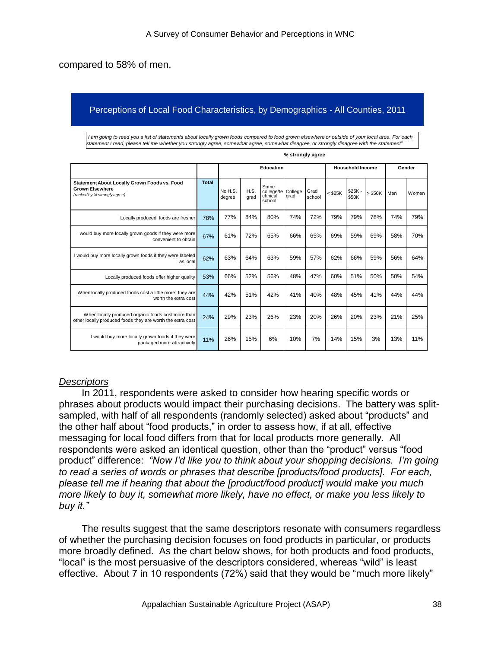compared to 58% of men.

### Perceptions of Local Food Characteristics, by Demographics - All Counties, 2011

*"I am going to read you a list of statements about locally grown foods compared to food grown elsewhere or outside of your local area. For each statement I read, please tell me whether you strongly agree, somewhat agree, somewhat disagree, or strongly disagree with the statement"*

|                                                                                                                  |              |                   |              | Education                               |                 |                |           | <b>Household Income</b> |           |              | Gender |
|------------------------------------------------------------------------------------------------------------------|--------------|-------------------|--------------|-----------------------------------------|-----------------|----------------|-----------|-------------------------|-----------|--------------|--------|
| Statement About Locally Grown Foods vs. Food<br><b>Grown Elsewhere</b><br>(ranked by % strongly agree)           | <b>Total</b> | No H.S.<br>degree | H.S.<br>grad | Some<br>college/te<br>chnical<br>school | College<br>arad | Grad<br>school | $<$ \$25K | $$25K -$<br>\$50K       | $>$ \$50K | <b>I</b> Men | Women  |
| Locally produced foods are fresher                                                                               | 78%          | 77%               | 84%          | 80%                                     | 74%             | 72%            | 79%       | 79%                     | 78%       | 74%          | 79%    |
| I would buy more locally grown goods if they were more<br>convenient to obtain                                   | 67%          | 61%               | 72%          | 65%                                     | 66%             | 65%            | 69%       | 59%                     | 69%       | 58%          | 70%    |
| I would buy more locally grown foods if they were labeled<br>as local                                            | 62%          | 63%               | 64%          | 63%                                     | 59%             | 57%            | 62%       | 66%                     | 59%       | 56%          | 64%    |
| Locally produced foods offer higher quality                                                                      | 53%          | 66%               | 52%          | 56%                                     | 48%             | 47%            | 60%       | 51%                     | 50%       | 50%          | 54%    |
| When locally produced foods cost a little more, they are<br>worth the extra cost                                 | 44%          | 42%               | 51%          | 42%                                     | 41%             | 40%            | 48%       | 45%                     | 41%       | 44%          | 44%    |
| When locally produced organic foods cost more than<br>other locally produced foods they are worth the extra cost | 24%          | 29%               | 23%          | 26%                                     | 23%             | 20%            | 26%       | 20%                     | 23%       | 21%          | 25%    |
| I would buy more locally grown foods if they were<br>packaged more attractively                                  | 11%          | 26%               | 15%          | 6%                                      | 10%             | 7%             | 14%       | 15%                     | 3%        | 13%          | 11%    |

#### *%* **strongly agree**

### *Descriptors*

In 2011, respondents were asked to consider how hearing specific words or phrases about products would impact their purchasing decisions. The battery was splitsampled, with half of all respondents (randomly selected) asked about "products" and the other half about "food products," in order to assess how, if at all, effective messaging for local food differs from that for local products more generally. All respondents were asked an identical question, other than the "product" versus "food product‖ difference: *"Now I"d like you to think about your shopping decisions. I"m going to read a series of words or phrases that describe [products/food products]. For each, please tell me if hearing that about the [product/food product] would make you much more likely to buy it, somewhat more likely, have no effect, or make you less likely to buy it."*

The results suggest that the same descriptors resonate with consumers regardless of whether the purchasing decision focuses on food products in particular, or products more broadly defined. As the chart below shows, for both products and food products, "local" is the most persuasive of the descriptors considered, whereas "wild" is least effective. About 7 in 10 respondents (72%) said that they would be "much more likely"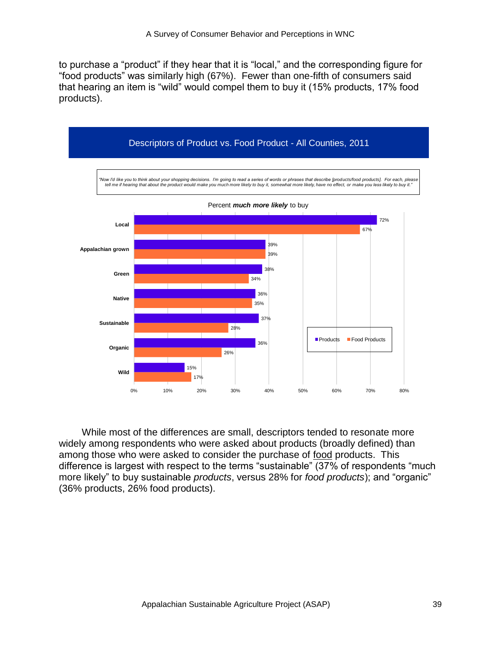to purchase a "product" if they hear that it is "local," and the corresponding figure for ―food products‖ was similarly high (67%). Fewer than one-fifth of consumers said that hearing an item is "wild" would compel them to buy it (15% products, 17% food products).



While most of the differences are small, descriptors tended to resonate more widely among respondents who were asked about products (broadly defined) than among those who were asked to consider the purchase of food products. This difference is largest with respect to the terms "sustainable" (37% of respondents "much more likely" to buy sustainable *products*, versus 28% for *food products*); and "organic" (36% products, 26% food products).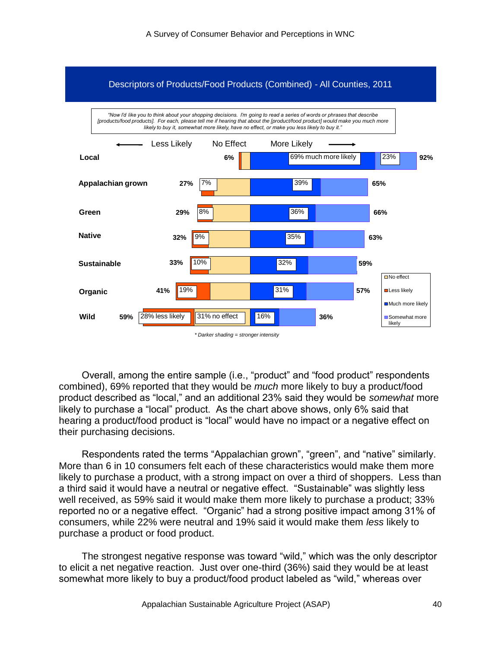

Overall, among the entire sample (i.e., "product" and "food product" respondents combined), 69% reported that they would be *much* more likely to buy a product/food product described as "local," and an additional 23% said they would be *somewhat* more likely to purchase a "local" product. As the chart above shows, only 6% said that hearing a product/food product is "local" would have no impact or a negative effect on their purchasing decisions.

Respondents rated the terms "Appalachian grown", "green", and "native" similarly. More than 6 in 10 consumers felt each of these characteristics would make them more likely to purchase a product, with a strong impact on over a third of shoppers. Less than a third said it would have a neutral or negative effect. "Sustainable" was slightly less well received, as 59% said it would make them more likely to purchase a product; 33% reported no or a negative effect. "Organic" had a strong positive impact among 31% of consumers, while 22% were neutral and 19% said it would make them *less* likely to purchase a product or food product.

The strongest negative response was toward "wild," which was the only descriptor to elicit a net negative reaction. Just over one-third (36%) said they would be at least somewhat more likely to buy a product/food product labeled as "wild," whereas over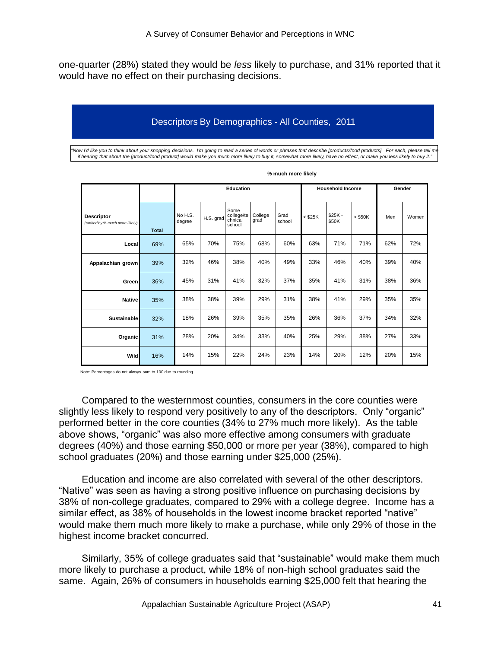one-quarter (28%) stated they would be *less* likely to purchase, and 31% reported that it would have no effect on their purchasing decisions.

# Descriptors By Demographics - All Counties, 2011

*"Now I"d like you to think about your shopping decisions. I"m going to read a series of words or phrases that describe [products/food products]. For each, please tell me if hearing that about the [product/food product] would make you much more likely to buy it, somewhat more likely, have no effect, or make you less likely to buy it."*

|                                                     |              | Education         |           |                                         |                 |                | <b>Household Income</b> |                   |           | Gender |       |
|-----------------------------------------------------|--------------|-------------------|-----------|-----------------------------------------|-----------------|----------------|-------------------------|-------------------|-----------|--------|-------|
| <b>Descriptor</b><br>(ranked by % much more likely) | <b>Total</b> | No H.S.<br>degree | H.S. grad | Some<br>college/te<br>chnical<br>school | College<br>grad | Grad<br>school | $<$ \$25K               | $$25K -$<br>\$50K | $>$ \$50K | Men    | Women |
| Local                                               | 69%          | 65%               | 70%       | 75%                                     | 68%             | 60%            | 63%                     | 71%               | 71%       | 62%    | 72%   |
| Appalachian grown                                   | 39%          | 32%               | 46%       | 38%                                     | 40%             | 49%            | 33%                     | 46%               | 40%       | 39%    | 40%   |
| Green                                               | 36%          | 45%               | 31%       | 41%                                     | 32%             | 37%            | 35%                     | 41%               | 31%       | 38%    | 36%   |
| <b>Nativel</b>                                      | 35%          | 38%               | 38%       | 39%                                     | 29%             | 31%            | 38%                     | 41%               | 29%       | 35%    | 35%   |
| Sustainable                                         | 32%          | 18%               | 26%       | 39%                                     | 35%             | 35%            | 26%                     | 36%               | 37%       | 34%    | 32%   |
| Organic                                             | 31%          | 28%               | 20%       | 34%                                     | 33%             | 40%            | 25%                     | 29%               | 38%       | 27%    | 33%   |
| <b>Wild</b>                                         | 16%          | 14%               | 15%       | 22%                                     | 24%             | 23%            | 14%                     | 20%               | 12%       | 20%    | 15%   |

| % much more likely |  |
|--------------------|--|
|                    |  |

Note: Percentages do not always sum to 100 due to rounding.

Compared to the westernmost counties, consumers in the core counties were slightly less likely to respond very positively to any of the descriptors. Only "organic" performed better in the core counties (34% to 27% much more likely). As the table above shows, "organic" was also more effective among consumers with graduate degrees (40%) and those earning \$50,000 or more per year (38%), compared to high school graduates (20%) and those earning under \$25,000 (25%).

Education and income are also correlated with several of the other descriptors. ―Native‖ was seen as having a strong positive influence on purchasing decisions by 38% of non-college graduates, compared to 29% with a college degree. Income has a similar effect, as 38% of households in the lowest income bracket reported "native" would make them much more likely to make a purchase, while only 29% of those in the highest income bracket concurred.

Similarly, 35% of college graduates said that "sustainable" would make them much more likely to purchase a product, while 18% of non-high school graduates said the same. Again, 26% of consumers in households earning \$25,000 felt that hearing the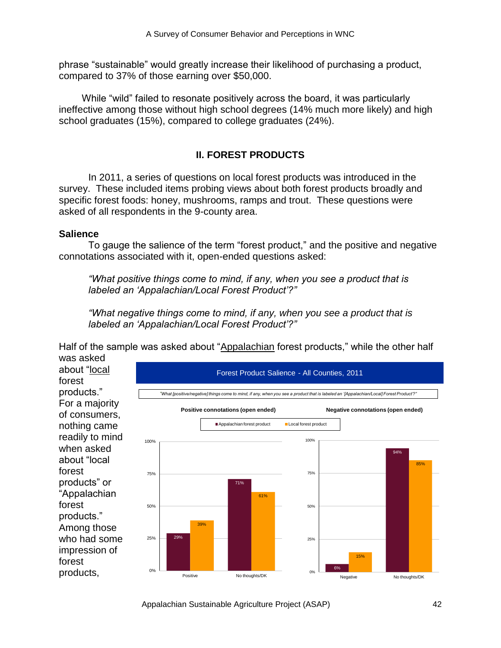phrase "sustainable" would greatly increase their likelihood of purchasing a product, compared to 37% of those earning over \$50,000.

While "wild" failed to resonate positively across the board, it was particularly ineffective among those without high school degrees (14% much more likely) and high school graduates (15%), compared to college graduates (24%).

# **II. FOREST PRODUCTS**

In 2011, a series of questions on local forest products was introduced in the survey. These included items probing views about both forest products broadly and specific forest foods: honey, mushrooms, ramps and trout. These questions were asked of all respondents in the 9-county area.

### **Salience**

To gauge the salience of the term "forest product," and the positive and negative connotations associated with it, open-ended questions asked:

*"What positive things come to mind, if any, when you see a product that is labeled an "Appalachian/Local Forest Product"?"*

*"What negative things come to mind, if any, when you see a product that is labeled an "Appalachian/Local Forest Product"?"*

Half of the sample was asked about "Appalachian forest products," while the other half was asked

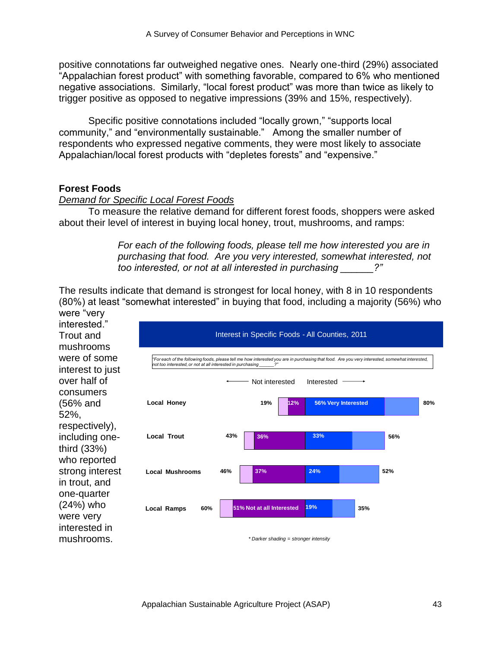positive connotations far outweighed negative ones. Nearly one-third (29%) associated ―Appalachian forest product‖ with something favorable, compared to 6% who mentioned negative associations. Similarly, "local forest product" was more than twice as likely to trigger positive as opposed to negative impressions (39% and 15%, respectively).

Specific positive connotations included "locally grown," "supports local community," and "environmentally sustainable." Among the smaller number of respondents who expressed negative comments, they were most likely to associate Appalachian/local forest products with "depletes forests" and "expensive."

# **Forest Foods**

### *Demand for Specific Local Forest Foods*

To measure the relative demand for different forest foods, shoppers were asked about their level of interest in buying local honey, trout, mushrooms, and ramps:

> *For each of the following foods, please tell me how interested you are in purchasing that food. Are you very interested, somewhat interested, not too interested, or not at all interested in purchasing \_\_\_\_\_\_?"*

The results indicate that demand is strongest for local honey, with 8 in 10 respondents (80%) at least "somewhat interested" in buying that food, including a majority (56%) who

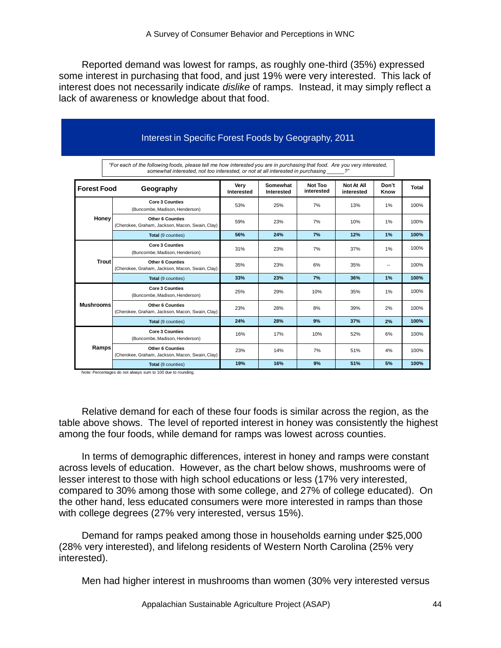Reported demand was lowest for ramps, as roughly one-third (35%) expressed some interest in purchasing that food, and just 19% were very interested. This lack of interest does not necessarily indicate *dislike* of ramps. Instead, it may simply reflect a lack of awareness or knowledge about that food.

|                    | "For each of the following foods, please tell me how interested you are in purchasing that food. Are you very interested, |                    |                        |                       |                                |                |              |
|--------------------|---------------------------------------------------------------------------------------------------------------------------|--------------------|------------------------|-----------------------|--------------------------------|----------------|--------------|
| <b>Forest Food</b> | somewhat interested, not too interested, or not at all interested in purchasing<br>Geography                              | Very<br>Interested | Somewhat<br>Interested | Not Too<br>interested | 2"<br>Not At All<br>interested | Don't<br>Know  | <b>Total</b> |
|                    | <b>Core 3 Counties</b><br>(Buncombe, Madison, Henderson)                                                                  | 53%                | 25%                    | 7%                    | 13%                            | 1%             | 100%         |
| Honey              | <b>Other 6 Counties</b><br>(Cherokee, Graham, Jackson, Macon, Swain, Clay)                                                | 59%                | 23%                    | 7%                    | 10%                            | 1%             | 100%         |
|                    | Total (9 counties)                                                                                                        | 56%                | 24%                    | 7%                    | 12%                            | 1%             | 100%         |
|                    | <b>Core 3 Counties</b><br>(Buncombe, Madison, Henderson)                                                                  | 31%                | 23%                    | 7%                    | 37%                            | 1%             | 100%         |
| <b>Trout</b>       | <b>Other 6 Counties</b><br>(Cherokee, Graham, Jackson, Macon, Swain, Clav)                                                | 35%                | 23%                    | 6%                    | 35%                            | $\overline{a}$ | 100%         |
|                    | Total (9 counties)                                                                                                        | 33%                | 23%                    | 7%                    | 36%                            | 1%             | 100%         |
|                    | <b>Core 3 Counties</b><br>(Buncombe, Madison, Henderson)                                                                  | 25%                | 29%                    | 10%                   | 35%                            | 1%             | 100%         |
| <b>Mushrooms</b>   | <b>Other 6 Counties</b><br>(Cherokee, Graham, Jackson, Macon, Swain, Clay)                                                | 23%                | 28%                    | 8%                    | 39%                            | 2%             | 100%         |
|                    | Total (9 counties)                                                                                                        | 24%                | 28%                    | 9%                    | 37%                            | 2%             | 100%         |
|                    | <b>Core 3 Counties</b><br>(Buncombe, Madison, Henderson)                                                                  | 16%                | 17%                    | 10%                   | 52%                            | 6%             | 100%         |
| Ramps              | <b>Other 6 Counties</b><br>(Cherokee, Graham, Jackson, Macon, Swain, Clay)                                                | 23%                | 14%                    | 7%                    | 51%                            | 4%             | 100%         |
|                    | Total (9 counties)                                                                                                        | 19%                | 16%                    | 9%                    | 51%                            | 5%             | 100%         |

Note: Percentages do not always sum to 100 due to rounding.

Relative demand for each of these four foods is similar across the region, as the table above shows. The level of reported interest in honey was consistently the highest among the four foods, while demand for ramps was lowest across counties.

In terms of demographic differences, interest in honey and ramps were constant across levels of education. However, as the chart below shows, mushrooms were of lesser interest to those with high school educations or less (17% very interested, compared to 30% among those with some college, and 27% of college educated). On the other hand, less educated consumers were more interested in ramps than those with college degrees (27% very interested, versus 15%).

Demand for ramps peaked among those in households earning under \$25,000 (28% very interested), and lifelong residents of Western North Carolina (25% very interested).

Men had higher interest in mushrooms than women (30% very interested versus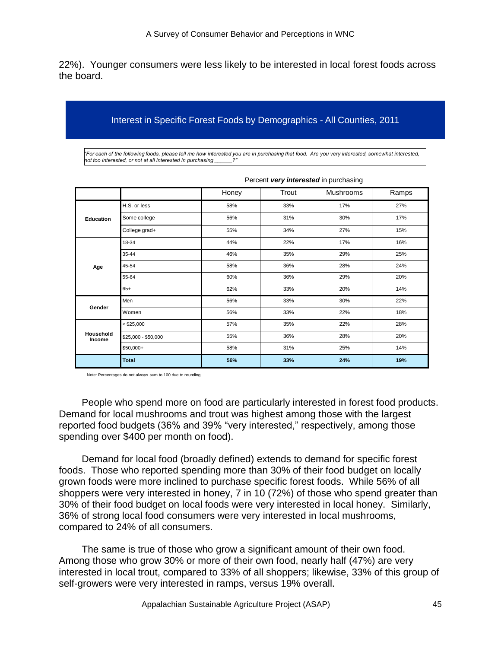22%). Younger consumers were less likely to be interested in local forest foods across the board.

#### Interest in Specific Forest Foods by Demographics - All Counties, 2011

*"For each of the following foods, please tell me how interested you are in purchasing that food. Are you very interested, somewhat interested, not too interested, or not at all interested in purchasing \_\_\_\_\_\_?"*

|                     |                     | Honey | Trout | <b>Mushrooms</b> | Ramps |  |  |
|---------------------|---------------------|-------|-------|------------------|-------|--|--|
| Education           | H.S. or less        | 58%   | 33%   | 17%              | 27%   |  |  |
|                     | Some college        | 56%   | 31%   | 30%              | 17%   |  |  |
|                     | College grad+       | 55%   | 34%   | 27%              | 15%   |  |  |
| Age                 | 18-34               | 44%   | 22%   | 17%              | 16%   |  |  |
|                     | 35-44               | 46%   | 35%   | 29%              | 25%   |  |  |
|                     | 45-54               | 58%   | 36%   | 28%              | 24%   |  |  |
|                     | 55-64               | 60%   | 36%   | 29%              | 20%   |  |  |
|                     | $65+$               | 62%   | 33%   | 20%              | 14%   |  |  |
| Gender              | Men                 | 56%   | 33%   | 30%              | 22%   |  |  |
|                     | Women               | 56%   | 33%   | 22%              | 18%   |  |  |
|                     | $<$ \$25,000        | 57%   | 35%   | 22%              | 28%   |  |  |
| Household<br>Income | \$25,000 - \$50,000 | 55%   | 36%   | 28%              | 20%   |  |  |
|                     | \$50,000+           | 58%   | 31%   | 25%              | 14%   |  |  |
|                     | <b>Total</b>        | 56%   | 33%   | 24%              | 19%   |  |  |

|  | Percent very interested in purchasing |  |
|--|---------------------------------------|--|
|  |                                       |  |

Note: Percentages do not always sum to 100 due to rounding.

People who spend more on food are particularly interested in forest food products. Demand for local mushrooms and trout was highest among those with the largest reported food budgets (36% and 39% "very interested," respectively, among those spending over \$400 per month on food).

Demand for local food (broadly defined) extends to demand for specific forest foods. Those who reported spending more than 30% of their food budget on locally grown foods were more inclined to purchase specific forest foods. While 56% of all shoppers were very interested in honey, 7 in 10 (72%) of those who spend greater than 30% of their food budget on local foods were very interested in local honey. Similarly, 36% of strong local food consumers were very interested in local mushrooms, compared to 24% of all consumers.

The same is true of those who grow a significant amount of their own food. Among those who grow 30% or more of their own food, nearly half (47%) are very interested in local trout, compared to 33% of all shoppers; likewise, 33% of this group of self-growers were very interested in ramps, versus 19% overall.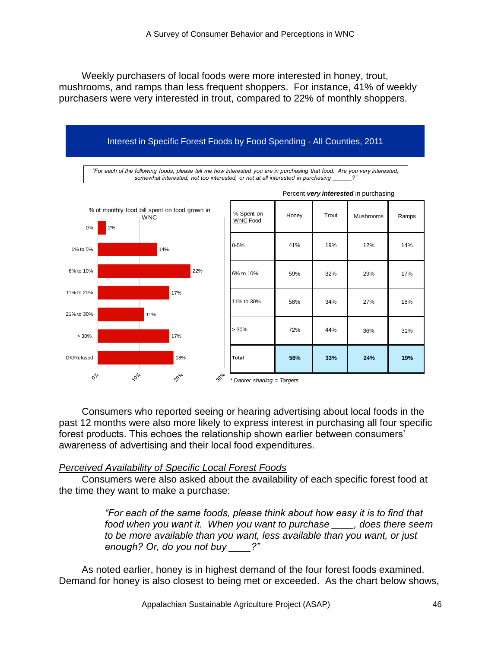Weekly purchasers of local foods were more interested in honey, trout, mushrooms, and ramps than less frequent shoppers. For instance, 41% of weekly purchasers were very interested in trout, compared to 22% of monthly shoppers.



Consumers who reported seeing or hearing advertising about local foods in the past 12 months were also more likely to express interest in purchasing all four specific forest products. This echoes the relationship shown earlier between consumers' awareness of advertising and their local food expenditures.

### *Perceived Availability of Specific Local Forest Foods*

Consumers were also asked about the availability of each specific forest food at the time they want to make a purchase:

> *"For each of the same foods, please think about how easy it is to find that food when you want it. When you want to purchase \_\_\_\_, does there seem to be more available than you want, less available than you want, or just enough? Or, do you not buy \_\_\_\_?"*

As noted earlier, honey is in highest demand of the four forest foods examined. Demand for honey is also closest to being met or exceeded. As the chart below shows,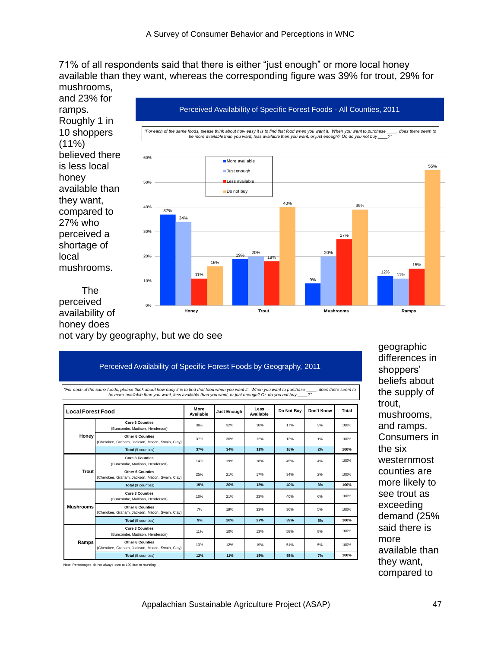71% of all respondents said that there is either "just enough" or more local honey available than they want, whereas the corresponding figure was 39% for trout, 29% for mushrooms,



perceived availability of honey does not vary by geography, but we do see

|                          | be more available than you want, less available than you want, or just enough? Or, do you not buy ___?" |                          |             |                   |            | For each of the same foods, please think about how easy it is to find that food when you want it. When you want to purchase , does there seem to |       |
|--------------------------|---------------------------------------------------------------------------------------------------------|--------------------------|-------------|-------------------|------------|--------------------------------------------------------------------------------------------------------------------------------------------------|-------|
| <b>Local Forest Food</b> |                                                                                                         | More<br><b>Available</b> | Just Enouah | Less<br>Available | Do Not Buy | Don't Know                                                                                                                                       | Total |
|                          | <b>Core 3 Counties</b><br>(Buncombe, Madison, Henderson)                                                | 38%                      | 32%         | 10%               | 17%        | 3%                                                                                                                                               | 100%  |
| Honey                    | <b>Other 6 Counties</b><br>(Cherokee, Graham, Jackson, Macon, Swain, Clay)                              | 37%                      | 36%         | 12%               | 13%        | 1%                                                                                                                                               | 100%  |
|                          | Total (9 counties)                                                                                      | 37%                      | 34%         | 11%               | 16%        | 2%                                                                                                                                               | 100%  |
|                          | <b>Core 3 Counties</b><br>(Buncombe, Madison, Henderson)                                                | 14%                      | 19%         | 18%               | 45%        | 4%                                                                                                                                               | 100%  |
| Trout                    | <b>Other 6 Counties</b><br>(Cherokee, Graham, Jackson, Macon, Swain, Clay)                              | 25%                      | 21%         | 17%               | 34%        | 2%                                                                                                                                               | 100%  |
|                          | Total (9 counties)                                                                                      | 19%                      | 20%         | 18%               | 40%        | 3%                                                                                                                                               | 100%  |
|                          | <b>Core 3 Counties</b><br>(Buncombe, Madison, Henderson)                                                | 10%                      | 21%         | 23%               | 40%        | 6%                                                                                                                                               | 100%  |
| <b>Mushrooms</b>         | <b>Other 6 Counties</b><br>(Cherokee, Graham, Jackson, Macon, Swain, Clay)                              | 7%                       | 19%         | 33%               | 36%        | 5%                                                                                                                                               | 100%  |
|                          | Total (9 counties)                                                                                      | 9%                       | 20%         | 27%               | 39%        | 5%                                                                                                                                               | 100%  |
|                          | <b>Core 3 Counties</b><br>(Buncombe, Madison, Henderson)                                                | 11%                      | 10%         | 13%               | 58%        | 8%                                                                                                                                               | 100%  |
| Ramps                    | <b>Other 6 Counties</b><br>(Cherokee, Graham, Jackson, Macon, Swain, Clay)                              | 13%                      | 12%         | 19%               | 51%        | 5%                                                                                                                                               | 100%  |
|                          | Total (9 counties)                                                                                      | 12%                      | 11%         | 15%               | 55%        | 7%                                                                                                                                               | 100%  |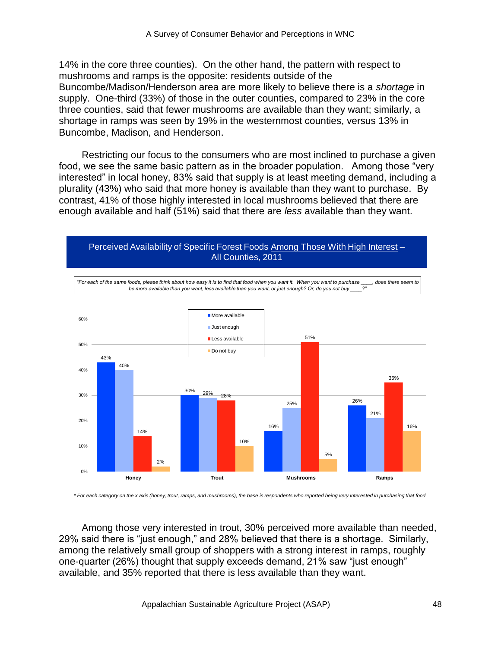14% in the core three counties). On the other hand, the pattern with respect to mushrooms and ramps is the opposite: residents outside of the Buncombe/Madison/Henderson area are more likely to believe there is a *shortage* in supply. One-third (33%) of those in the outer counties, compared to 23% in the core three counties, said that fewer mushrooms are available than they want; similarly, a shortage in ramps was seen by 19% in the westernmost counties, versus 13% in Buncombe, Madison, and Henderson.

Restricting our focus to the consumers who are most inclined to purchase a given food, we see the same basic pattern as in the broader population. Among those "very interested" in local honey, 83% said that supply is at least meeting demand, including a plurality (43%) who said that more honey is available than they want to purchase. By contrast, 41% of those highly interested in local mushrooms believed that there are enough available and half (51%) said that there are *less* available than they want.





*\* For each category on the x axis (honey, trout, ramps, and mushrooms), the base is respondents who reported being very interested in purchasing that food.*

Among those very interested in trout, 30% perceived more available than needed, 29% said there is "just enough," and 28% believed that there is a shortage. Similarly, among the relatively small group of shoppers with a strong interest in ramps, roughly one-quarter (26%) thought that supply exceeds demand, 21% saw "just enough" available, and 35% reported that there is less available than they want.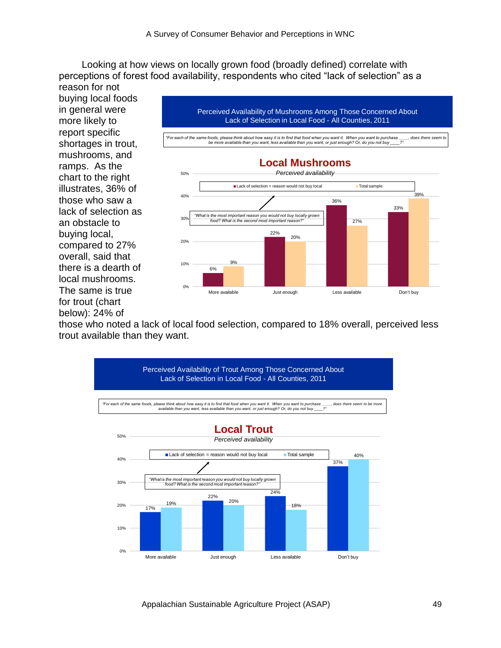Looking at how views on locally grown food (broadly defined) correlate with perceptions of forest food availability, respondents who cited "lack of selection" as a

reason for not buying local foods in general were more likely to report specific shortages in trout, mushrooms, and ramps. As the chart to the right illustrates, 36% of those who saw a lack of selection as an obstacle to buying local, compared to 27% overall, said that there is a dearth of local mushrooms. The same is true for trout (chart below): 24% of



those who noted a lack of local food selection, compared to 18% overall, perceived less trout available than they want.

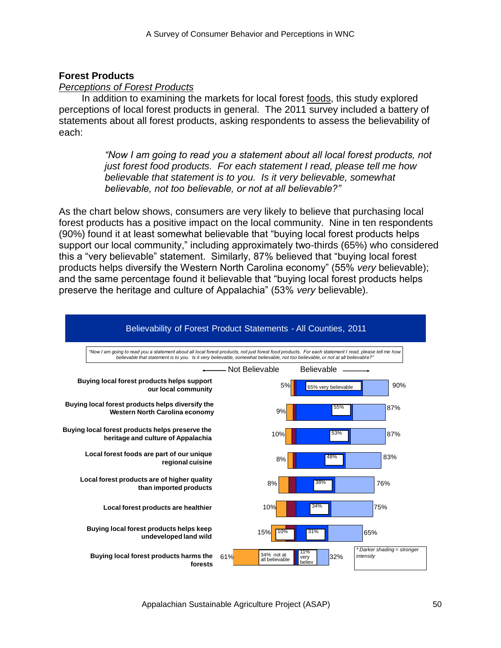# **Forest Products**

#### *Perceptions of Forest Products*

In addition to examining the markets for local forest foods, this study explored perceptions of local forest products in general. The 2011 survey included a battery of statements about all forest products, asking respondents to assess the believability of each:

> *"Now I am going to read you a statement about all local forest products, not just forest food products. For each statement I read, please tell me how believable that statement is to you. Is it very believable, somewhat believable, not too believable, or not at all believable?"*

As the chart below shows, consumers are very likely to believe that purchasing local forest products has a positive impact on the local community. Nine in ten respondents (90%) found it at least somewhat believable that "buying local forest products helps support our local community," including approximately two-thirds (65%) who considered this a "very believable" statement. Similarly, 87% believed that "buying local forest products helps diversify the Western North Carolina economy" (55% *very* believable); and the same percentage found it believable that "buying local forest products helps preserve the heritage and culture of Appalachia‖ (53% *very* believable).

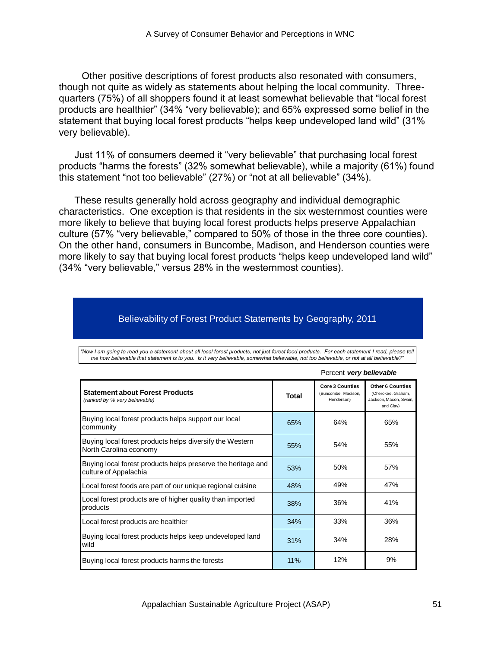Other positive descriptions of forest products also resonated with consumers, though not quite as widely as statements about helping the local community. Threequarters (75%) of all shoppers found it at least somewhat believable that "local forest products are healthier" (34% "very believable); and 65% expressed some belief in the statement that buying local forest products "helps keep undeveloped land wild" (31% very believable).

Just 11% of consumers deemed it "very believable" that purchasing local forest products "harms the forests" (32% somewhat believable), while a majority (61%) found this statement "not too believable" (27%) or "not at all believable" (34%).

These results generally hold across geography and individual demographic characteristics. One exception is that residents in the six westernmost counties were more likely to believe that buying local forest products helps preserve Appalachian culture (57% "very believable," compared to 50% of those in the three core counties). On the other hand, consumers in Buncombe, Madison, and Henderson counties were more likely to say that buying local forest products "helps keep undeveloped land wild" (34% "very believable," versus 28% in the westernmost counties).

#### Believability of Forest Product Statements by Geography, 2011

|                                                                                       |       | Percent very believable                                     |                                                                                      |
|---------------------------------------------------------------------------------------|-------|-------------------------------------------------------------|--------------------------------------------------------------------------------------|
| <b>Statement about Forest Products</b><br>(ranked by % very believable)               | Total | <b>Core 3 Counties</b><br>(Buncombe, Madison,<br>Henderson) | <b>Other 6 Counties</b><br>(Cherokee, Graham,<br>Jackson, Macon, Swain,<br>and Clay) |
| Buying local forest products helps support our local<br>community                     | 65%   | 64%                                                         | 65%                                                                                  |
| Buying local forest products helps diversify the Western<br>North Carolina economy    | 55%   | 54%                                                         | 55%                                                                                  |
| Buying local forest products helps preserve the heritage and<br>culture of Appalachia | 53%   | 50%                                                         | 57%                                                                                  |
| Local forest foods are part of our unique regional cuisine                            | 48%   | 49%                                                         | 47%                                                                                  |
| Local forest products are of higher quality than imported<br>products                 | 38%   | 36%                                                         | 41%                                                                                  |
| Local forest products are healthier                                                   | 34%   | 33%                                                         | 36%                                                                                  |
| Buying local forest products helps keep undeveloped land<br>wild                      | 31%   | 34%                                                         | 28%                                                                                  |
| Buying local forest products harms the forests                                        | 11%   | 12%                                                         | 9%                                                                                   |

*"Now I am going to read you a statement about all local forest products, not just forest food products. For each statement I read, please tell me how believable that statement is to you. Is it very believable, somewhat believable, not too believable, or not at all believable?"*